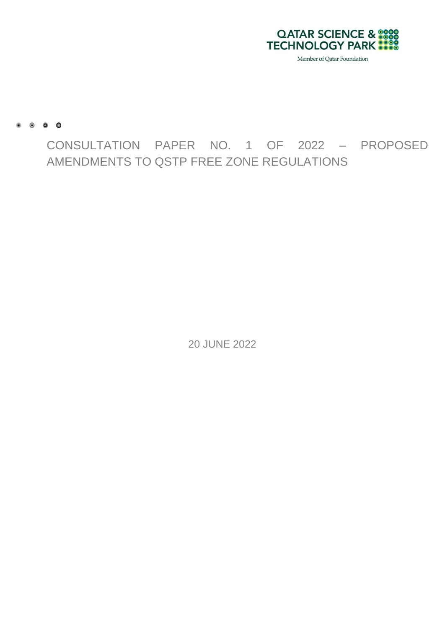

 $\begin{array}{ccccccccccccccccc} \bullet & \bullet & \bullet & \bullet & \bullet & \bullet & \bullet \end{array}$ 

CONSULTATION PAPER NO. 1 OF 2022 – PROPOSED AMENDMENTS TO QSTP FREE ZONE REGULATIONS

20 JUNE 2022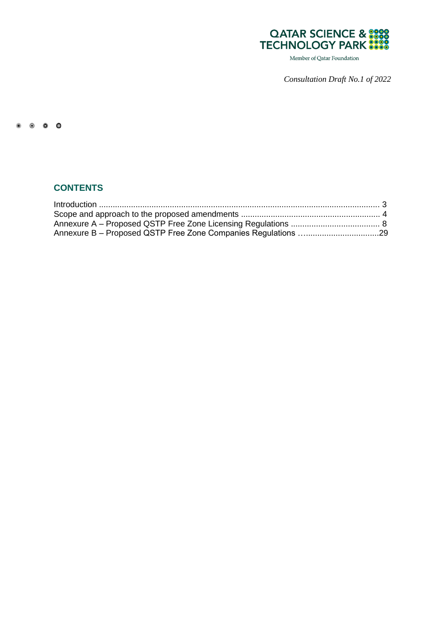

Member of Qatar Foundation

*Consultation Draft No.1 of 2022*

#### $\begin{array}{ccccccccc}\n\bullet & \bullet & \bullet & \bullet & \bullet & \bullet\n\end{array}$

# **CONTENTS**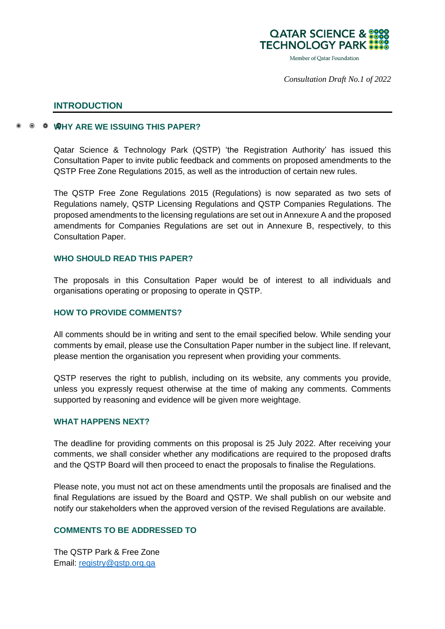

*Consultation Draft No.1 of 2022*

## **INTRODUCTION**

## **WHY ARE WE ISSUING THIS PAPER?**

Qatar Science & Technology Park (QSTP) 'the Registration Authority' has issued this Consultation Paper to invite public feedback and comments on proposed amendments to the QSTP Free Zone Regulations 2015, as well as the introduction of certain new rules.

The QSTP Free Zone Regulations 2015 (Regulations) is now separated as two sets of Regulations namely, QSTP Licensing Regulations and QSTP Companies Regulations. The proposed amendments to the licensing regulations are set out in Annexure A and the proposed amendments for Companies Regulations are set out in Annexure B, respectively, to this Consultation Paper.

#### **WHO SHOULD READ THIS PAPER?**

The proposals in this Consultation Paper would be of interest to all individuals and organisations operating or proposing to operate in QSTP.

## **HOW TO PROVIDE COMMENTS?**

All comments should be in writing and sent to the email specified below. While sending your comments by email, please use the Consultation Paper number in the subject line. If relevant, please mention the organisation you represent when providing your comments.

QSTP reserves the right to publish, including on its website, any comments you provide, unless you expressly request otherwise at the time of making any comments. Comments supported by reasoning and evidence will be given more weightage.

## **WHAT HAPPENS NEXT?**

The deadline for providing comments on this proposal is 25 July 2022. After receiving your comments, we shall consider whether any modifications are required to the proposed drafts and the QSTP Board will then proceed to enact the proposals to finalise the Regulations.

Please note, you must not act on these amendments until the proposals are finalised and the final Regulations are issued by the Board and QSTP. We shall publish on our website and notify our stakeholders when the approved version of the revised Regulations are available.

#### **COMMENTS TO BE ADDRESSED TO**

The QSTP Park & Free Zone Email: [registry@qstp.org.qa](mailto:registry@qstp.org.qa)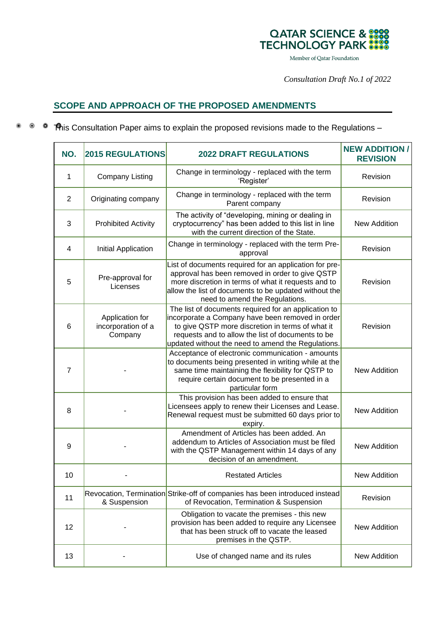

Member of Qatar Foundation

*Consultation Draft No.1 of 2022*

# **SCOPE AND APPROACH OF THE PROPOSED AMENDMENTS**

<sup>®</sup> <sup>●</sup> This Consultation Paper aims to explain the proposed revisions made to the Regulations –

| NO.             | <b>2015 REGULATIONS</b>                          | <b>2022 DRAFT REGULATIONS</b>                                                                                                                                                                                                                                           | <b>NEW ADDITION/</b><br><b>REVISION</b> |
|-----------------|--------------------------------------------------|-------------------------------------------------------------------------------------------------------------------------------------------------------------------------------------------------------------------------------------------------------------------------|-----------------------------------------|
| 1               | <b>Company Listing</b>                           | Change in terminology - replaced with the term<br>'Register'                                                                                                                                                                                                            | Revision                                |
| 2               | Originating company                              | Change in terminology - replaced with the term<br>Parent company                                                                                                                                                                                                        | Revision                                |
| 3               | <b>Prohibited Activity</b>                       | The activity of "developing, mining or dealing in<br>cryptocurrency" has been added to this list in line<br>with the current direction of the State.                                                                                                                    | <b>New Addition</b>                     |
| $\overline{4}$  | Initial Application                              | Change in terminology - replaced with the term Pre-<br>approval                                                                                                                                                                                                         | Revision                                |
| 5               | Pre-approval for<br>Licenses                     | List of documents required for an application for pre-<br>approval has been removed in order to give QSTP<br>more discretion in terms of what it requests and to<br>allow the list of documents to be updated without the<br>need to amend the Regulations.             | Revision                                |
| $6\phantom{1}6$ | Application for<br>incorporation of a<br>Company | The list of documents required for an application to<br>incorporate a Company have been removed in order<br>to give QSTP more discretion in terms of what it<br>requests and to allow the list of documents to be<br>updated without the need to amend the Regulations. | Revision                                |
| $\overline{7}$  |                                                  | Acceptance of electronic communication - amounts<br>to documents being presented in writing while at the<br>same time maintaining the flexibility for QSTP to<br>require certain document to be presented in a<br>particular form                                       | <b>New Addition</b>                     |
| 8               |                                                  | This provision has been added to ensure that<br>Licensees apply to renew their Licenses and Lease.<br>Renewal request must be submitted 60 days prior to<br>expiry.                                                                                                     | <b>New Addition</b>                     |
| 9               |                                                  | Amendment of Articles has been added. An<br>addendum to Articles of Association must be filed<br>with the QSTP Management within 14 days of any<br>decision of an amendment.                                                                                            | New Addition                            |
| 10              |                                                  | <b>Restated Articles</b>                                                                                                                                                                                                                                                | <b>New Addition</b>                     |
| 11              | & Suspension                                     | Revocation, Termination Strike-off of companies has been introduced instead<br>of Revocation, Termination & Suspension                                                                                                                                                  | Revision                                |
| 12              |                                                  | Obligation to vacate the premises - this new<br>provision has been added to require any Licensee<br>that has been struck off to vacate the leased<br>premises in the QSTP.                                                                                              | <b>New Addition</b>                     |
| 13              |                                                  | Use of changed name and its rules                                                                                                                                                                                                                                       | New Addition                            |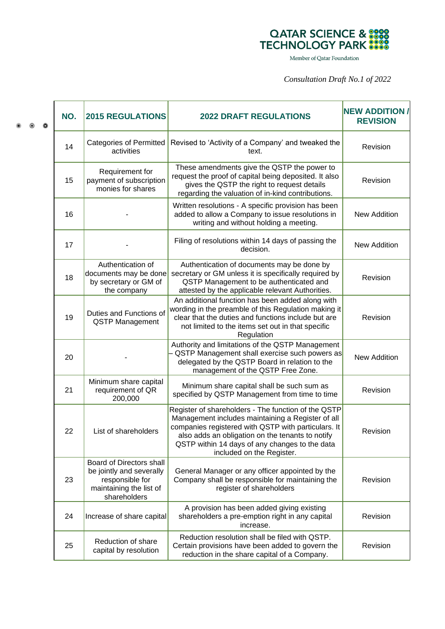# QATAR SCIENCE & 1999<br>TECHNOLOGY PARK

Member of Qatar Foundation

*Consultation Draft No.1 of 2022*

|  | $\bullet$ | NO.                                                                                                                | <b>2015 REGULATIONS</b>                                                                                                         | <b>2022 DRAFT REGULATIONS</b>                                                                                                                                                                                                                                                                      | <b>NEW ADDITION/</b><br><b>REVISION</b> |
|--|-----------|--------------------------------------------------------------------------------------------------------------------|---------------------------------------------------------------------------------------------------------------------------------|----------------------------------------------------------------------------------------------------------------------------------------------------------------------------------------------------------------------------------------------------------------------------------------------------|-----------------------------------------|
|  |           | 14                                                                                                                 | <b>Categories of Permitted</b><br>activities                                                                                    | Revised to 'Activity of a Company' and tweaked the<br>text.                                                                                                                                                                                                                                        | Revision                                |
|  |           | 15                                                                                                                 | Requirement for<br>payment of subscription<br>monies for shares                                                                 | These amendments give the QSTP the power to<br>request the proof of capital being deposited. It also<br>gives the QSTP the right to request details<br>regarding the valuation of in-kind contributions.                                                                                           | Revision                                |
|  |           | 16                                                                                                                 |                                                                                                                                 | Written resolutions - A specific provision has been<br>added to allow a Company to issue resolutions in<br>writing and without holding a meeting.                                                                                                                                                  | <b>New Addition</b>                     |
|  |           | 17                                                                                                                 |                                                                                                                                 | Filing of resolutions within 14 days of passing the<br>decision.                                                                                                                                                                                                                                   | <b>New Addition</b>                     |
|  |           | 18                                                                                                                 | Authentication of<br>documents may be done<br>by secretary or GM of<br>the company                                              | Authentication of documents may be done by<br>secretary or GM unless it is specifically required by<br>QSTP Management to be authenticated and<br>attested by the applicable relevant Authorities.                                                                                                 | Revision                                |
|  |           | 19                                                                                                                 | Duties and Functions of<br><b>QSTP Management</b>                                                                               | An additional function has been added along with<br>wording in the preamble of this Regulation making it<br>clear that the duties and functions include but are<br>not limited to the items set out in that specific<br>Regulation                                                                 | Revision                                |
|  |           | 20                                                                                                                 |                                                                                                                                 | Authority and limitations of the QSTP Management<br>QSTP Management shall exercise such powers as<br>delegated by the QSTP Board in relation to the<br>management of the QSTP Free Zone.                                                                                                           | <b>New Addition</b>                     |
|  |           | 21                                                                                                                 | Minimum share capital<br>requirement of QR<br>200,000                                                                           | Minimum share capital shall be such sum as<br>specified by QSTP Management from time to time                                                                                                                                                                                                       | Revision                                |
|  |           | 22                                                                                                                 | List of shareholders                                                                                                            | Register of shareholders - The function of the QSTP<br>Management includes maintaining a Register of all<br>companies registered with QSTP with particulars. It<br>also adds an obligation on the tenants to notify<br>QSTP within 14 days of any changes to the data<br>included on the Register. | Revision                                |
|  | 23        | Board of Directors shall<br>be jointly and severally<br>responsible for<br>maintaining the list of<br>shareholders | General Manager or any officer appointed by the<br>Company shall be responsible for maintaining the<br>register of shareholders | Revision                                                                                                                                                                                                                                                                                           |                                         |
|  |           | 24                                                                                                                 | Increase of share capital                                                                                                       | A provision has been added giving existing<br>shareholders a pre-emption right in any capital<br>increase.                                                                                                                                                                                         | Revision                                |
|  |           | 25                                                                                                                 | Reduction of share<br>capital by resolution                                                                                     | Reduction resolution shall be filed with QSTP.<br>Certain provisions have been added to govern the<br>reduction in the share capital of a Company.                                                                                                                                                 | Revision                                |

 $\omega$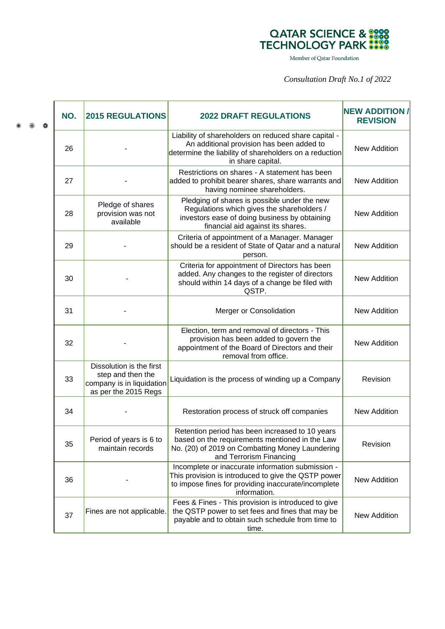

Member of Qatar Foundation

*Consultation Draft No.1 of 2022*

|  | NO. | <b>2015 REGULATIONS</b>                                                                            | <b>2022 DRAFT REGULATIONS</b>                                                                                                                                                    | <b>NEW ADDITION /</b><br><b>REVISION</b> |
|--|-----|----------------------------------------------------------------------------------------------------|----------------------------------------------------------------------------------------------------------------------------------------------------------------------------------|------------------------------------------|
|  | 26  |                                                                                                    | Liability of shareholders on reduced share capital -<br>An additional provision has been added to<br>determine the liability of shareholders on a reduction<br>in share capital. | <b>New Addition</b>                      |
|  | 27  |                                                                                                    | Restrictions on shares - A statement has been<br>added to prohibit bearer shares, share warrants and<br>having nominee shareholders.                                             | <b>New Addition</b>                      |
|  | 28  | Pledge of shares<br>provision was not<br>available                                                 | Pledging of shares is possible under the new<br>Regulations which gives the shareholders /<br>investors ease of doing business by obtaining<br>financial aid against its shares. | <b>New Addition</b>                      |
|  | 29  |                                                                                                    | Criteria of appointment of a Manager. Manager<br>should be a resident of State of Qatar and a natural<br>person.                                                                 | <b>New Addition</b>                      |
|  | 30  |                                                                                                    | Criteria for appointment of Directors has been<br>added. Any changes to the register of directors<br>should within 14 days of a change be filed with<br>QSTP.                    | <b>New Addition</b>                      |
|  | 31  |                                                                                                    | Merger or Consolidation                                                                                                                                                          | <b>New Addition</b>                      |
|  | 32  |                                                                                                    | Election, term and removal of directors - This<br>provision has been added to govern the<br>appointment of the Board of Directors and their<br>removal from office.              | <b>New Addition</b>                      |
|  | 33  | Dissolution is the first<br>step and then the<br>company is in liquidation<br>as per the 2015 Regs | Liquidation is the process of winding up a Company                                                                                                                               | Revision                                 |
|  | 34  |                                                                                                    | Restoration process of struck off companies                                                                                                                                      | <b>New Addition</b>                      |
|  | 35  | Period of years is 6 to<br>maintain records                                                        | Retention period has been increased to 10 years<br>based on the requirements mentioned in the Law<br>No. (20) of 2019 on Combatting Money Laundering<br>and Terrorism Financing  | Revision                                 |
|  | 36  |                                                                                                    | Incomplete or inaccurate information submission -<br>This provision is introduced to give the QSTP power<br>to impose fines for providing inaccurate/incomplete<br>information.  | <b>New Addition</b>                      |
|  | 37  | Fines are not applicable.                                                                          | Fees & Fines - This provision is introduced to give<br>the QSTP power to set fees and fines that may be<br>payable and to obtain such schedule from time to<br>time.             | <b>New Addition</b>                      |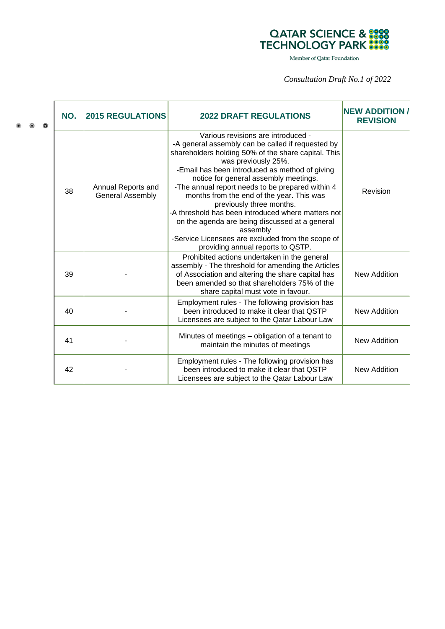

Member of Qatar Foundation

*Consultation Draft No.1 of 2022*

| NO. | <b>2015 REGULATIONS</b>                       | <b>2022 DRAFT REGULATIONS</b>                                                                                                                                                                                                                                                                                                                                                                                                                                                                                                                                                                               | <b>NEW ADDITION</b><br><b>REVISION</b> |
|-----|-----------------------------------------------|-------------------------------------------------------------------------------------------------------------------------------------------------------------------------------------------------------------------------------------------------------------------------------------------------------------------------------------------------------------------------------------------------------------------------------------------------------------------------------------------------------------------------------------------------------------------------------------------------------------|----------------------------------------|
| 38  | Annual Reports and<br><b>General Assembly</b> | Various revisions are introduced -<br>-A general assembly can be called if requested by<br>shareholders holding 50% of the share capital. This<br>was previously 25%.<br>-Email has been introduced as method of giving<br>notice for general assembly meetings.<br>-The annual report needs to be prepared within 4<br>months from the end of the year. This was<br>previously three months.<br>-A threshold has been introduced where matters not<br>on the agenda are being discussed at a general<br>assembly<br>-Service Licensees are excluded from the scope of<br>providing annual reports to QSTP. | Revision                               |
| 39  |                                               | Prohibited actions undertaken in the general<br>assembly - The threshold for amending the Articles<br>of Association and altering the share capital has<br>been amended so that shareholders 75% of the<br>share capital must vote in favour.                                                                                                                                                                                                                                                                                                                                                               | <b>New Addition</b>                    |
| 40  |                                               | Employment rules - The following provision has<br>been introduced to make it clear that QSTP<br>Licensees are subject to the Qatar Labour Law                                                                                                                                                                                                                                                                                                                                                                                                                                                               | New Addition                           |
| 41  |                                               | Minutes of meetings - obligation of a tenant to<br>maintain the minutes of meetings                                                                                                                                                                                                                                                                                                                                                                                                                                                                                                                         | <b>New Addition</b>                    |
| 42  |                                               | Employment rules - The following provision has<br>been introduced to make it clear that QSTP<br>Licensees are subject to the Qatar Labour Law                                                                                                                                                                                                                                                                                                                                                                                                                                                               | New Addition                           |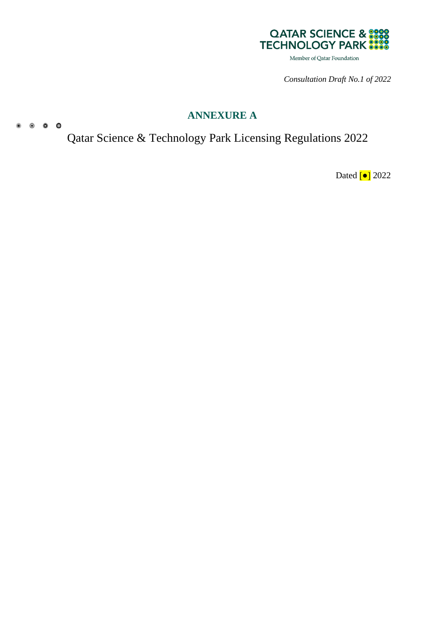

*Consultation Draft No.1 of 2022*

# **ANNEXURE A**

Qatar Science & Technology Park Licensing Regulations 2022

 $\begin{array}{cccccccccccccc} 0 & 0 & 0 & 0 & 0 \end{array}$ 

Dated [<sup>●</sup>] 2022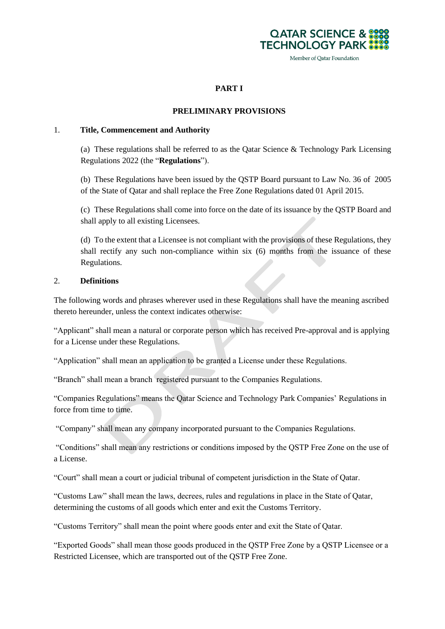

Member of Qatar Foundation

# **PART I**

#### **PRELIMINARY PROVISIONS**

#### 1. **Title, Commencement and Authority**

(a) These regulations shall be referred to as the Qatar Science  $\&$  Technology Park Licensing Regulations 2022 (the "**Regulations**").

(b) These Regulations have been issued by the QSTP Board pursuant to Law No. 36 of 2005 of the State of Qatar and shall replace the Free Zone Regulations dated 01 April 2015.

(c) These Regulations shall come into force on the date of its issuance by the QSTP Board and shall apply to all existing Licensees.

(d) To the extent that a Licensee is not compliant with the provisions of these Regulations, they shall rectify any such non-compliance within six (6) months from the issuance of these Regulations.

#### 2. **Definitions**

The following words and phrases wherever used in these Regulations shall have the meaning ascribed thereto hereunder, unless the context indicates otherwise:

"Applicant" shall mean a natural or corporate person which has received Pre-approval and is applying for a License under these Regulations.

"Application" shall mean an application to be granted a License under these Regulations.

"Branch" shall mean a branch registered pursuant to the Companies Regulations.

"Companies Regulations" means the Qatar Science and Technology Park Companies' Regulations in force from time to time.

"Company" shall mean any company incorporated pursuant to the Companies Regulations.

"Conditions" shall mean any restrictions or conditions imposed by the QSTP Free Zone on the use of a License.

"Court" shall mean a court or judicial tribunal of competent jurisdiction in the State of Qatar.

"Customs Law" shall mean the laws, decrees, rules and regulations in place in the State of Qatar, determining the customs of all goods which enter and exit the Customs Territory.

"Customs Territory" shall mean the point where goods enter and exit the State of Qatar.

"Exported Goods" shall mean those goods produced in the QSTP Free Zone by a QSTP Licensee or a Restricted Licensee, which are transported out of the QSTP Free Zone.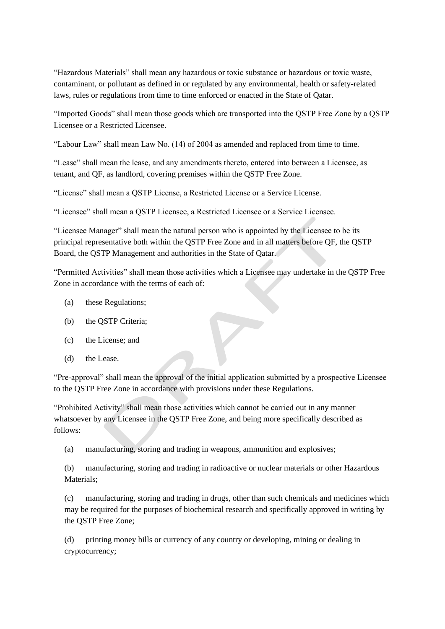"Hazardous Materials" shall mean any hazardous or toxic substance or hazardous or toxic waste, contaminant, or pollutant as defined in or regulated by any environmental, health or safety-related laws, rules or regulations from time to time enforced or enacted in the State of Qatar.

"Imported Goods" shall mean those goods which are transported into the QSTP Free Zone by a QSTP Licensee or a Restricted Licensee.

"Labour Law" shall mean Law No. (14) of 2004 as amended and replaced from time to time.

"Lease" shall mean the lease, and any amendments thereto, entered into between a Licensee, as tenant, and QF, as landlord, covering premises within the QSTP Free Zone.

"License" shall mean a QSTP License, a Restricted License or a Service License.

"Licensee" shall mean a QSTP Licensee, a Restricted Licensee or a Service Licensee.

"Licensee Manager" shall mean the natural person who is appointed by the Licensee to be its principal representative both within the QSTP Free Zone and in all matters before QF, the QSTP Board, the QSTP Management and authorities in the State of Qatar.

"Permitted Activities" shall mean those activities which a Licensee may undertake in the QSTP Free Zone in accordance with the terms of each of

- (a) these Regulations;
- (b) the QSTP Criteria;
- (c) the License; and
- (d) the Lease.

"Pre-approval" shall mean the approval of the initial application submitted by a prospective Licensee to the QSTP Free Zone in accordance with provisions under these Regulations.

"Prohibited Activity" shall mean those activities which cannot be carried out in any manner whatsoever by any Licensee in the QSTP Free Zone, and being more specifically described as follows:

(a) manufacturing, storing and trading in weapons, ammunition and explosives;

(b) manufacturing, storing and trading in radioactive or nuclear materials or other Hazardous Materials;

(c) manufacturing, storing and trading in drugs, other than such chemicals and medicines which may be required for the purposes of biochemical research and specifically approved in writing by the QSTP Free Zone;

(d) printing money bills or currency of any country or developing, mining or dealing in cryptocurrency;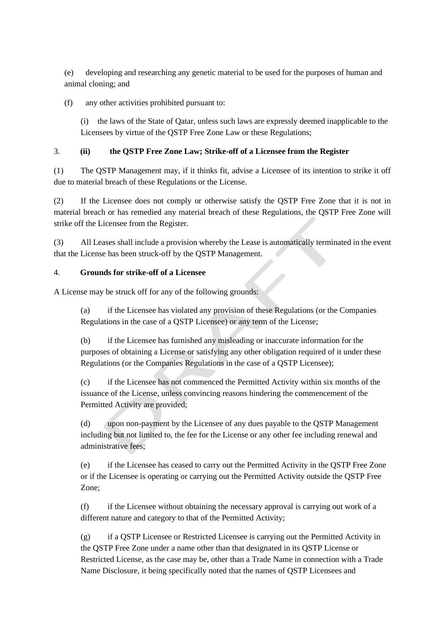(e) developing and researching any genetic material to be used for the purposes of human and animal cloning; and

(f) any other activities prohibited pursuant to:

(i) the laws of the State of Qatar, unless such laws are expressly deemed inapplicable to the Licensees by virtue of the QSTP Free Zone Law or these Regulations;

# 3. **(ii) the QSTP Free Zone Law; Strike-off of a Licensee from the Register**

(1) The QSTP Management may, if it thinks fit, advise a Licensee of its intention to strike it off due to material breach of these Regulations or the License.

(2) If the Licensee does not comply or otherwise satisfy the QSTP Free Zone that it is not in material breach or has remedied any material breach of these Regulations, the QSTP Free Zone will strike off the Licensee from the Register.

(3) All Leases shall include a provision whereby the Lease is automatically terminated in the event that the License has been struck-off by the QSTP Management.

# 4. **Grounds for strike-off of a Licensee**

A License may be struck off for any of the following grounds:

(a) if the Licensee has violated any provision of these Regulations (or the Companies Regulations in the case of a QSTP Licensee) or any term of the License;

(b) if the Licensee has furnished any misleading or inaccurate information for the purposes of obtaining a License or satisfying any other obligation required of it under these Regulations (or the Companies Regulations in the case of a QSTP Licensee);

(c) if the Licensee has not commenced the Permitted Activity within six months of the issuance of the License, unless convincing reasons hindering the commencement of the Permitted Activity are provided;

(d) upon non-payment by the Licensee of any dues payable to the QSTP Management including but not limited to, the fee for the License or any other fee including renewal and administrative fees;

(e) if the Licensee has ceased to carry out the Permitted Activity in the QSTP Free Zone or if the Licensee is operating or carrying out the Permitted Activity outside the QSTP Free Zone;

(f) if the Licensee without obtaining the necessary approval is carrying out work of a different nature and category to that of the Permitted Activity;

(g) if a QSTP Licensee or Restricted Licensee is carrying out the Permitted Activity in the QSTP Free Zone under a name other than that designated in its QSTP License or Restricted License, as the case may be, other than a Trade Name in connection with a Trade Name Disclosure, it being specifically noted that the names of QSTP Licensees and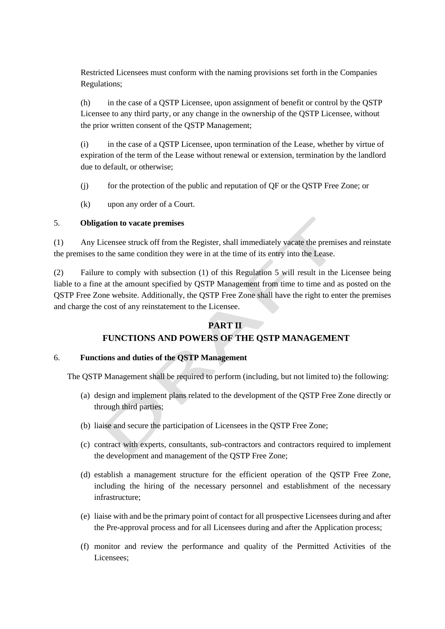Restricted Licensees must conform with the naming provisions set forth in the Companies Regulations;

(h) in the case of a QSTP Licensee, upon assignment of benefit or control by the QSTP Licensee to any third party, or any change in the ownership of the QSTP Licensee, without the prior written consent of the QSTP Management;

(i) in the case of a QSTP Licensee, upon termination of the Lease, whether by virtue of expiration of the term of the Lease without renewal or extension, termination by the landlord due to default, or otherwise;

- (j) for the protection of the public and reputation of QF or the QSTP Free Zone; or
- (k) upon any order of a Court.

# <span id="page-11-0"></span>5. **Obligation to vacate premises**

(1) Any Licensee struck off from the Register, shall immediately vacate the premises and reinstate the premises to the same condition they were in at the time of its entry into the Lease.

(2) Failure to comply with subsection (1) of this Regulation [5](#page-11-0) will result in the Licensee being liable to a fine at the amount specified by QSTP Management from time to time and as posted on the QSTP Free Zone website. Additionally, the QSTP Free Zone shall have the right to enter the premises and charge the cost of any reinstatement to the Licensee.

# **PART II**

# **FUNCTIONS AND POWERS OF THE QSTP MANAGEMENT**

# <span id="page-11-1"></span>6. **Functions and duties of the QSTP Management**

The QSTP Management shall be required to perform (including, but not limited to) the following:

- (a) design and implement plans related to the development of the QSTP Free Zone directly or through third parties;
- (b) liaise and secure the participation of Licensees in the QSTP Free Zone;
- (c) contract with experts, consultants, sub-contractors and contractors required to implement the development and management of the QSTP Free Zone;
- (d) establish a management structure for the efficient operation of the QSTP Free Zone, including the hiring of the necessary personnel and establishment of the necessary infrastructure;
- (e) liaise with and be the primary point of contact for all prospective Licensees during and after the Pre-approval process and for all Licensees during and after the Application process;
- (f) monitor and review the performance and quality of the Permitted Activities of the Licensees;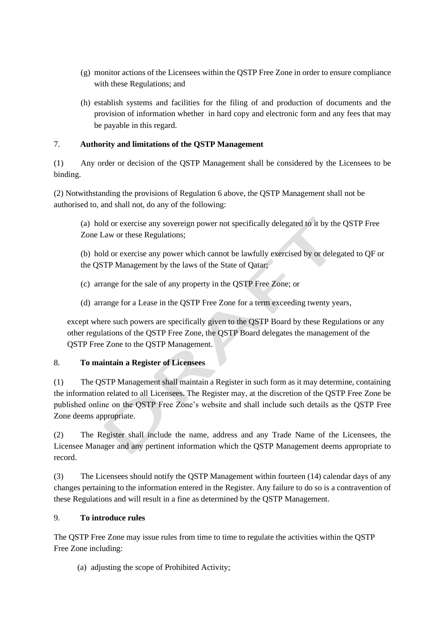- (g) monitor actions of the Licensees within the QSTP Free Zone in order to ensure compliance with these Regulations; and
- (h) establish systems and facilities for the filing of and production of documents and the provision of information whether in hard copy and electronic form and any fees that may be payable in this regard.

# 7. **Authority and limitations of the QSTP Management**

(1) Any order or decision of the QSTP Management shall be considered by the Licensees to be binding.

(2) Notwithstanding the provisions of Regulation [6](#page-11-1) above, the QSTP Management shall not be authorised to, and shall not, do any of the following:

(a) hold or exercise any sovereign power not specifically delegated to it by the QSTP Free Zone Law or these Regulations;

(b) hold or exercise any power which cannot be lawfully exercised by or delegated to QF or the QSTP Management by the laws of the State of Qatar;

- (c) arrange for the sale of any property in the QSTP Free Zone; or
- (d) arrange for a Lease in the QSTP Free Zone for a term exceeding twenty years,

except where such powers are specifically given to the QSTP Board by these Regulations or any other regulations of the QSTP Free Zone, the QSTP Board delegates the management of the QSTP Free Zone to the QSTP Management.

# 8. **To maintain a Register of Licensees**

(1) The QSTP Management shall maintain a Register in such form as it may determine, containing the information related to all Licensees. The Register may, at the discretion of the QSTP Free Zone be published online on the QSTP Free Zone's website and shall include such details as the QSTP Free Zone deems appropriate.

(2) The Register shall include the name, address and any Trade Name of the Licensees, the Licensee Manager and any pertinent information which the QSTP Management deems appropriate to record.

(3) The Licensees should notify the QSTP Management within fourteen (14) calendar days of any changes pertaining to the information entered in the Register. Any failure to do so is a contravention of these Regulations and will result in a fine as determined by the QSTP Management.

# 9. **To introduce rules**

The QSTP Free Zone may issue rules from time to time to regulate the activities within the QSTP Free Zone including:

(a) adjusting the scope of Prohibited Activity;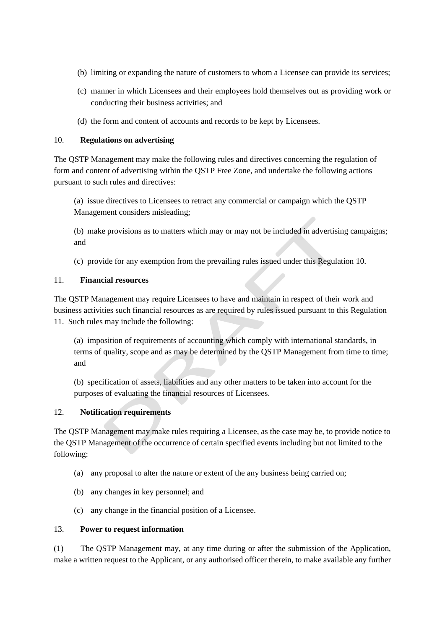- (b) limiting or expanding the nature of customers to whom a Licensee can provide its services;
- (c) manner in which Licensees and their employees hold themselves out as providing work or conducting their business activities; and
- (d) the form and content of accounts and records to be kept by Licensees.

## <span id="page-13-0"></span>10. **Regulations on advertising**

The QSTP Management may make the following rules and directives concerning the regulation of form and content of advertising within the QSTP Free Zone, and undertake the following actions pursuant to such rules and directives:

(a) issue directives to Licensees to retract any commercial or campaign which the QSTP Management considers misleading;

(b) make provisions as to matters which may or may not be included in advertising campaigns; and

(c) provide for any exemption from the prevailing rules issued under this Regulation [10.](#page-13-0)

## <span id="page-13-1"></span>11. **Financial resources**

The QSTP Management may require Licensees to have and maintain in respect of their work and business activities such financial resources as are required by rules issued pursuant to this Regulation [11.](#page-13-1) Such rules may include the following:

(a) imposition of requirements of accounting which comply with international standards, in terms of quality, scope and as may be determined by the QSTP Management from time to time; and

(b) specification of assets, liabilities and any other matters to be taken into account for the purposes of evaluating the financial resources of Licensees.

# 12. **Notification requirements**

The QSTP Management may make rules requiring a Licensee, as the case may be, to provide notice to the QSTP Management of the occurrence of certain specified events including but not limited to the following:

- (a) any proposal to alter the nature or extent of the any business being carried on;
- (b) any changes in key personnel; and
- (c) any change in the financial position of a Licensee.

## 13. **Power to request information**

(1) The QSTP Management may, at any time during or after the submission of the Application, make a written request to the Applicant, or any authorised officer therein, to make available any further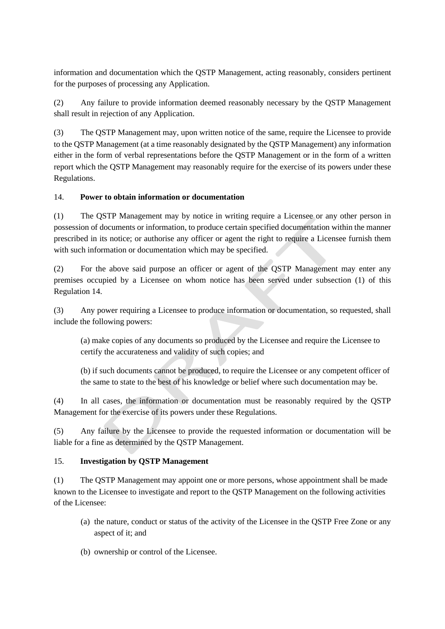information and documentation which the QSTP Management, acting reasonably, considers pertinent for the purposes of processing any Application.

(2) Any failure to provide information deemed reasonably necessary by the QSTP Management shall result in rejection of any Application.

(3) The QSTP Management may, upon written notice of the same, require the Licensee to provide to the QSTP Management (at a time reasonably designated by the QSTP Management) any information either in the form of verbal representations before the QSTP Management or in the form of a written report which the QSTP Management may reasonably require for the exercise of its powers under these Regulations.

# <span id="page-14-0"></span>14. **Power to obtain information or documentation**

(1) The QSTP Management may by notice in writing require a Licensee or any other person in possession of documents or information, to produce certain specified documentation within the manner prescribed in its notice; or authorise any officer or agent the right to require a Licensee furnish them with such information or documentation which may be specified.

(2) For the above said purpose an officer or agent of the QSTP Management may enter any premises occupied by a Licensee on whom notice has been served under subsection (1) of this Regulation [14.](#page-14-0)

(3) Any power requiring a Licensee to produce information or documentation, so requested, shall include the following powers:

(a) make copies of any documents so produced by the Licensee and require the Licensee to certify the accurateness and validity of such copies; and

(b) if such documents cannot be produced, to require the Licensee or any competent officer of the same to state to the best of his knowledge or belief where such documentation may be.

(4) In all cases, the information or documentation must be reasonably required by the QSTP Management for the exercise of its powers under these Regulations.

(5) Any failure by the Licensee to provide the requested information or documentation will be liable for a fine as determined by the QSTP Management.

# 15. **Investigation by QSTP Management**

(1) The QSTP Management may appoint one or more persons, whose appointment shall be made known to the Licensee to investigate and report to the QSTP Management on the following activities of the Licensee:

- (a) the nature, conduct or status of the activity of the Licensee in the QSTP Free Zone or any aspect of it; and
- (b) ownership or control of the Licensee.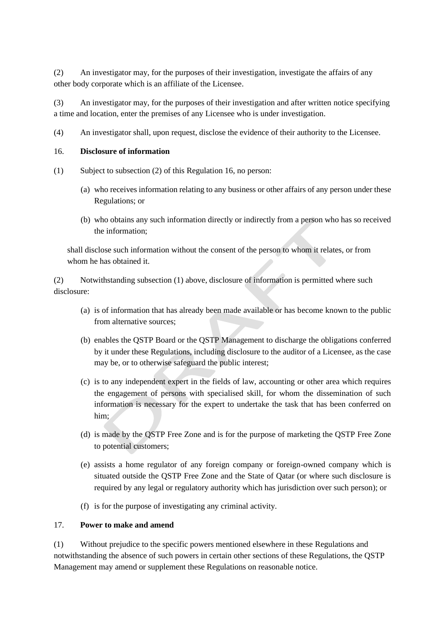(2) An investigator may, for the purposes of their investigation, investigate the affairs of any other body corporate which is an affiliate of the Licensee.

(3) An investigator may, for the purposes of their investigation and after written notice specifying a time and location, enter the premises of any Licensee who is under investigation.

(4) An investigator shall, upon request, disclose the evidence of their authority to the Licensee.

#### <span id="page-15-0"></span>16. **Disclosure of information**

- (1) Subject to subsection (2) of this Regulation [16,](#page-15-0) no person:
	- (a) who receives information relating to any business or other affairs of any person under these Regulations; or
	- (b) who obtains any such information directly or indirectly from a person who has so received the information;

shall disclose such information without the consent of the person to whom it relates, or from whom he has obtained it.

(2) Notwithstanding subsection (1) above, disclosure of information is permitted where such disclosure:

- (a) is of information that has already been made available or has become known to the public from alternative sources;
- (b) enables the QSTP Board or the QSTP Management to discharge the obligations conferred by it under these Regulations, including disclosure to the auditor of a Licensee, as the case may be, or to otherwise safeguard the public interest;
- (c) is to any independent expert in the fields of law, accounting or other area which requires the engagement of persons with specialised skill, for whom the dissemination of such information is necessary for the expert to undertake the task that has been conferred on him;
- (d) is made by the QSTP Free Zone and is for the purpose of marketing the QSTP Free Zone to potential customers;
- (e) assists a home regulator of any foreign company or foreign-owned company which is situated outside the QSTP Free Zone and the State of Qatar (or where such disclosure is required by any legal or regulatory authority which has jurisdiction over such person); or
- (f) is for the purpose of investigating any criminal activity.

#### <span id="page-15-1"></span>17. **Power to make and amend**

(1) Without prejudice to the specific powers mentioned elsewhere in these Regulations and notwithstanding the absence of such powers in certain other sections of these Regulations, the QSTP Management may amend or supplement these Regulations on reasonable notice.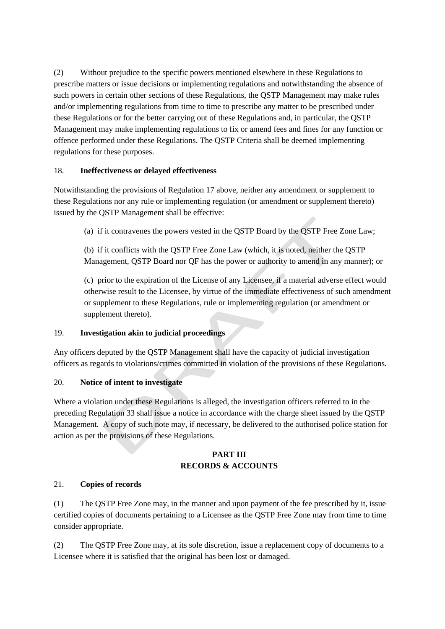(2) Without prejudice to the specific powers mentioned elsewhere in these Regulations to prescribe matters or issue decisions or implementing regulations and notwithstanding the absence of such powers in certain other sections of these Regulations, the QSTP Management may make rules and/or implementing regulations from time to time to prescribe any matter to be prescribed under these Regulations or for the better carrying out of these Regulations and, in particular, the QSTP Management may make implementing regulations to fix or amend fees and fines for any function or offence performed under these Regulations. The QSTP Criteria shall be deemed implementing regulations for these purposes.

# 18. **Ineffectiveness or delayed effectiveness**

Notwithstanding the provisions of Regulation [17](#page-15-1) above, neither any amendment or supplement to these Regulations nor any rule or implementing regulation (or amendment or supplement thereto) issued by the QSTP Management shall be effective:

(a) if it contravenes the powers vested in the QSTP Board by the QSTP Free Zone Law;

(b) if it conflicts with the QSTP Free Zone Law (which, it is noted, neither the QSTP Management, QSTP Board nor QF has the power or authority to amend in any manner); or

(c) prior to the expiration of the License of any Licensee, if a material adverse effect would otherwise result to the Licensee, by virtue of the immediate effectiveness of such amendment or supplement to these Regulations, rule or implementing regulation (or amendment or supplement thereto).

# 19. **Investigation akin to judicial proceedings**

Any officers deputed by the QSTP Management shall have the capacity of judicial investigation officers as regards to violations/crimes committed in violation of the provisions of these Regulations.

# 20. **Notice of intent to investigate**

Where a violation under these Regulations is alleged, the investigation officers referred to in the preceding Regulation 33 shall issue a notice in accordance with the charge sheet issued by the QSTP Management. A copy of such note may, if necessary, be delivered to the authorised police station for action as per the provisions of these Regulations.

# **PART III RECORDS & ACCOUNTS**

# 21. **Copies of records**

(1) The QSTP Free Zone may, in the manner and upon payment of the fee prescribed by it, issue certified copies of documents pertaining to a Licensee as the QSTP Free Zone may from time to time consider appropriate.

(2) The QSTP Free Zone may, at its sole discretion, issue a replacement copy of documents to a Licensee where it is satisfied that the original has been lost or damaged.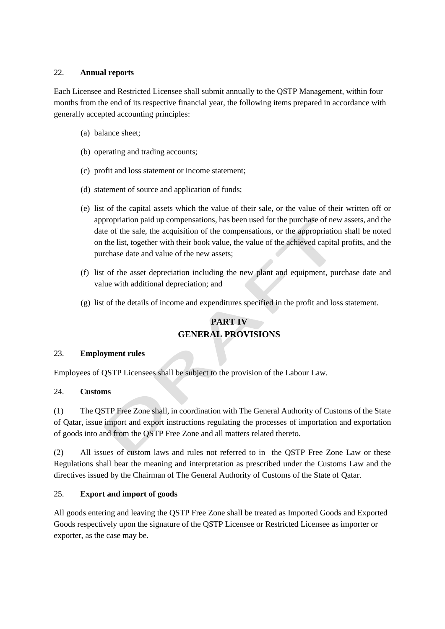## 22. **Annual reports**

Each Licensee and Restricted Licensee shall submit annually to the QSTP Management, within four months from the end of its respective financial year, the following items prepared in accordance with generally accepted accounting principles:

- (a) balance sheet;
- (b) operating and trading accounts;
- (c) profit and loss statement or income statement;
- (d) statement of source and application of funds;
- (e) list of the capital assets which the value of their sale, or the value of their written off or appropriation paid up compensations, has been used for the purchase of new assets, and the date of the sale, the acquisition of the compensations, or the appropriation shall be noted on the list, together with their book value, the value of the achieved capital profits, and the purchase date and value of the new assets;
- (f) list of the asset depreciation including the new plant and equipment, purchase date and value with additional depreciation; and
- (g) list of the details of income and expenditures specified in the profit and loss statement.

# **PART IV GENERAL PROVISIONS**

#### 23. **Employment rules**

Employees of QSTP Licensees shall be subject to the provision of the Labour Law.

#### 24. **Customs**

(1) The QSTP Free Zone shall, in coordination with The General Authority of Customs of the State of Qatar, issue import and export instructions regulating the processes of importation and exportation of goods into and from the QSTP Free Zone and all matters related thereto.

(2) All issues of custom laws and rules not referred to in the QSTP Free Zone Law or these Regulations shall bear the meaning and interpretation as prescribed under the Customs Law and the directives issued by the Chairman of The General Authority of Customs of the State of Qatar.

# 25. **Export and import of goods**

All goods entering and leaving the QSTP Free Zone shall be treated as Imported Goods and Exported Goods respectively upon the signature of the QSTP Licensee or Restricted Licensee as importer or exporter, as the case may be.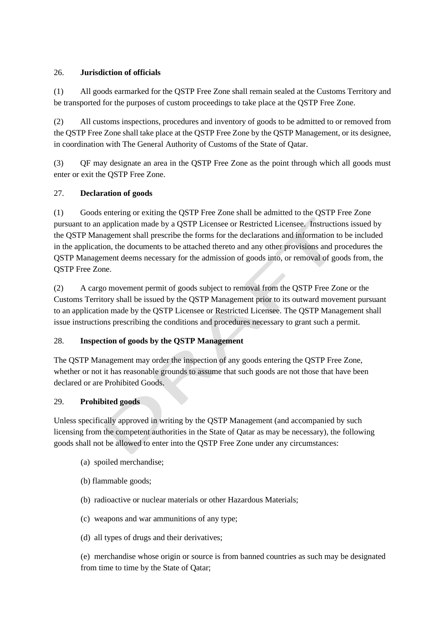# 26. **Jurisdiction of officials**

(1) All goods earmarked for the QSTP Free Zone shall remain sealed at the Customs Territory and be transported for the purposes of custom proceedings to take place at the QSTP Free Zone.

(2) All customs inspections, procedures and inventory of goods to be admitted to or removed from the QSTP Free Zone shall take place at the QSTP Free Zone by the QSTP Management, or its designee, in coordination with The General Authority of Customs of the State of Qatar.

(3) QF may designate an area in the QSTP Free Zone as the point through which all goods must enter or exit the QSTP Free Zone.

# 27. **Declaration of goods**

(1) Goods entering or exiting the QSTP Free Zone shall be admitted to the QSTP Free Zone pursuant to an application made by a QSTP Licensee or Restricted Licensee. Instructions issued by the QSTP Management shall prescribe the forms for the declarations and information to be included in the application, the documents to be attached thereto and any other provisions and procedures the QSTP Management deems necessary for the admission of goods into, or removal of goods from, the QSTP Free Zone.

(2) A cargo movement permit of goods subject to removal from the QSTP Free Zone or the Customs Territory shall be issued by the QSTP Management prior to its outward movement pursuant to an application made by the QSTP Licensee or Restricted Licensee. The QSTP Management shall issue instructions prescribing the conditions and procedures necessary to grant such a permit.

# 28. **Inspection of goods by the QSTP Management**

The QSTP Management may order the inspection of any goods entering the QSTP Free Zone, whether or not it has reasonable grounds to assume that such goods are not those that have been declared or are Prohibited Goods.

# 29. **Prohibited goods**

Unless specifically approved in writing by the QSTP Management (and accompanied by such licensing from the competent authorities in the State of Qatar as may be necessary), the following goods shall not be allowed to enter into the QSTP Free Zone under any circumstances:

- (a) spoiled merchandise;
- (b) flammable goods;
- (b) radioactive or nuclear materials or other Hazardous Materials;
- (c) weapons and war ammunitions of any type;
- (d) all types of drugs and their derivatives;

(e) merchandise whose origin or source is from banned countries as such may be designated from time to time by the State of Qatar;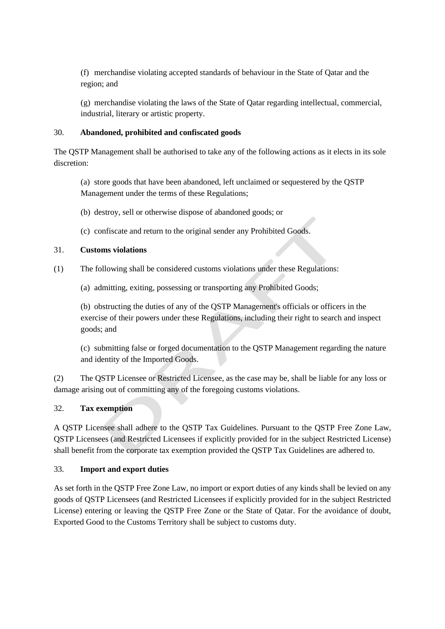(f) merchandise violating accepted standards of behaviour in the State of Qatar and the region; and

(g) merchandise violating the laws of the State of Qatar regarding intellectual, commercial, industrial, literary or artistic property.

# 30. **Abandoned, prohibited and confiscated goods**

The QSTP Management shall be authorised to take any of the following actions as it elects in its sole discretion:

(a) store goods that have been abandoned, left unclaimed or sequestered by the QSTP Management under the terms of these Regulations;

- (b) destroy, sell or otherwise dispose of abandoned goods; or
- (c) confiscate and return to the original sender any Prohibited Goods.

## 31. **Customs violations**

- (1) The following shall be considered customs violations under these Regulations:
	- (a) admitting, exiting, possessing or transporting any Prohibited Goods;

(b) obstructing the duties of any of the QSTP Management's officials or officers in the exercise of their powers under these Regulations, including their right to search and inspect goods; and

(c) submitting false or forged documentation to the QSTP Management regarding the nature and identity of the Imported Goods.

(2) The QSTP Licensee or Restricted Licensee, as the case may be, shall be liable for any loss or damage arising out of committing any of the foregoing customs violations.

# 32. **Tax exemption**

A QSTP Licensee shall adhere to the QSTP Tax Guidelines. Pursuant to the QSTP Free Zone Law, QSTP Licensees (and Restricted Licensees if explicitly provided for in the subject Restricted License) shall benefit from the corporate tax exemption provided the QSTP Tax Guidelines are adhered to.

#### 33. **Import and export duties**

As set forth in the QSTP Free Zone Law, no import or export duties of any kinds shall be levied on any goods of QSTP Licensees (and Restricted Licensees if explicitly provided for in the subject Restricted License) entering or leaving the QSTP Free Zone or the State of Qatar. For the avoidance of doubt, Exported Good to the Customs Territory shall be subject to customs duty.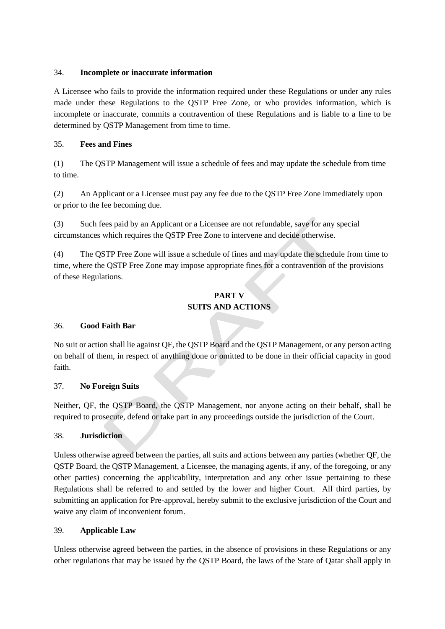## 34. **Incomplete or inaccurate information**

A Licensee who fails to provide the information required under these Regulations or under any rules made under these Regulations to the QSTP Free Zone, or who provides information, which is incomplete or inaccurate, commits a contravention of these Regulations and is liable to a fine to be determined by QSTP Management from time to time.

# 35. **Fees and Fines**

(1) The QSTP Management will issue a schedule of fees and may update the schedule from time to time.

(2) An Applicant or a Licensee must pay any fee due to the QSTP Free Zone immediately upon or prior to the fee becoming due.

(3) Such fees paid by an Applicant or a Licensee are not refundable, save for any special circumstances which requires the QSTP Free Zone to intervene and decide otherwise.

(4) The QSTP Free Zone will issue a schedule of fines and may update the schedule from time to time, where the QSTP Free Zone may impose appropriate fines for a contravention of the provisions of these Regulations.

# **PART V SUITS AND ACTIONS**

# 36. **Good Faith Bar**

No suit or action shall lie against QF, the QSTP Board and the QSTP Management, or any person acting on behalf of them, in respect of anything done or omitted to be done in their official capacity in good faith.

# 37. **No Foreign Suits**

Neither, QF, the QSTP Board, the QSTP Management, nor anyone acting on their behalf, shall be required to prosecute, defend or take part in any proceedings outside the jurisdiction of the Court.

# 38. **Jurisdiction**

Unless otherwise agreed between the parties, all suits and actions between any parties (whether QF, the QSTP Board, the QSTP Management, a Licensee, the managing agents, if any, of the foregoing, or any other parties) concerning the applicability, interpretation and any other issue pertaining to these Regulations shall be referred to and settled by the lower and higher Court. All third parties, by submitting an application for Pre-approval, hereby submit to the exclusive jurisdiction of the Court and waive any claim of inconvenient forum.

# 39. **Applicable Law**

Unless otherwise agreed between the parties, in the absence of provisions in these Regulations or any other regulations that may be issued by the QSTP Board, the laws of the State of Qatar shall apply in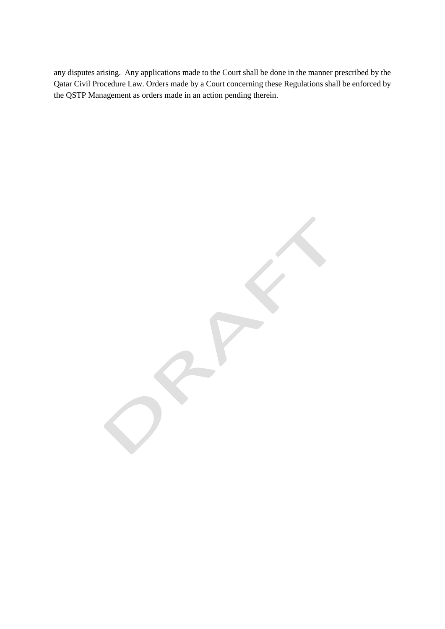any disputes arising. Any applications made to the Court shall be done in the manner prescribed by the Qatar Civil Procedure Law. Orders made by a Court concerning these Regulations shall be enforced by the QSTP Management as orders made in an action pending therein.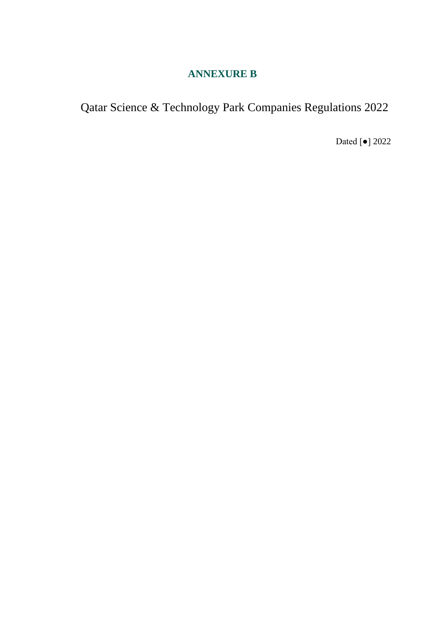# **ANNEXURE B**

Qatar Science & Technology Park Companies Regulations 2022

Dated [●] 2022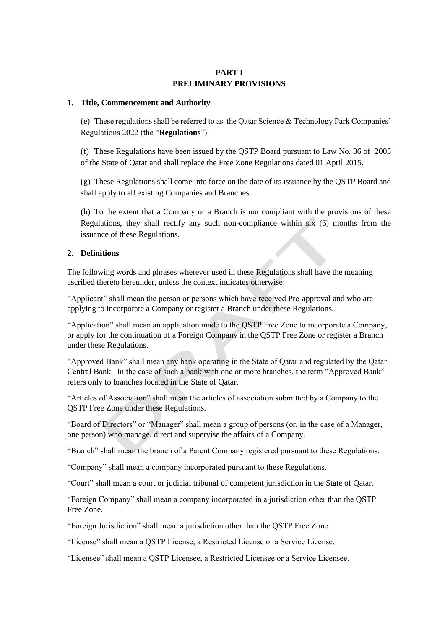## **PART I PRELIMINARY PROVISIONS**

#### **1. Title, Commencement and Authority**

(e) These regulations shall be referred to as the Qatar Science & Technology Park Companies' Regulations 2022 (the "**Regulations**").

(f) These Regulations have been issued by the QSTP Board pursuant to Law No. 36 of 2005 of the State of Qatar and shall replace the Free Zone Regulations dated 01 April 2015.

(g) These Regulations shall come into force on the date of its issuance by the QSTP Board and shall apply to all existing Companies and Branches.

(h) To the extent that a Company or a Branch is not compliant with the provisions of these Regulations, they shall rectify any such non-compliance within six (6) months from the issuance of these Regulations.

## **2. Definitions**

The following words and phrases wherever used in these Regulations shall have the meaning ascribed thereto hereunder, unless the context indicates otherwise:

"Applicant" shall mean the person or persons which have received Pre-approval and who are applying to incorporate a Company or register a Branch under these Regulations.

"Application" shall mean an application made to the QSTP Free Zone to incorporate a Company, or apply for the continuation of a Foreign Company in the QSTP Free Zone or register a Branch under these Regulations.

"Approved Bank" shall mean any bank operating in the State of Qatar and regulated by the Qatar Central Bank. In the case of such a bank with one or more branches, the term "Approved Bank" refers only to branches located in the State of Qatar.

"Articles of Association" shall mean the articles of association submitted by a Company to the QSTP Free Zone under these Regulations.

"Board of Directors" or "Manager" shall mean a group of persons (or, in the case of a Manager, one person) who manage, direct and supervise the affairs of a Company.

"Branch" shall mean the branch of a Parent Company registered pursuant to these Regulations.

"Company" shall mean a company incorporated pursuant to these Regulations.

"Court" shall mean a court or judicial tribunal of competent jurisdiction in the State of Qatar.

"Foreign Company" shall mean a company incorporated in a jurisdiction other than the QSTP Free Zone.

"Foreign Jurisdiction" shall mean a jurisdiction other than the QSTP Free Zone.

"License" shall mean a QSTP License, a Restricted License or a Service License.

"Licensee" shall mean a QSTP Licensee, a Restricted Licensee or a Service Licensee.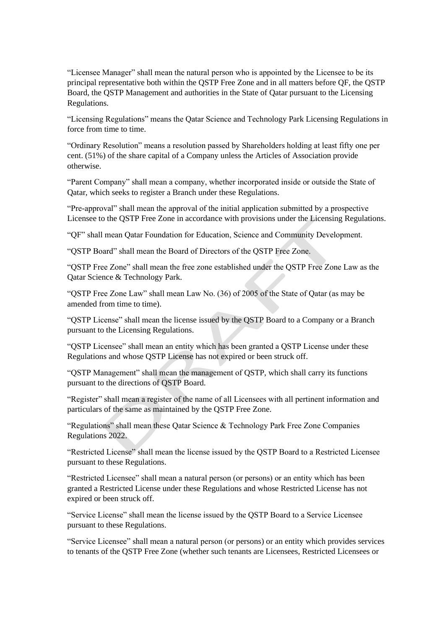"Licensee Manager" shall mean the natural person who is appointed by the Licensee to be its principal representative both within the QSTP Free Zone and in all matters before QF, the QSTP Board, the QSTP Management and authorities in the State of Qatar pursuant to the Licensing Regulations.

"Licensing Regulations" means the Qatar Science and Technology Park Licensing Regulations in force from time to time.

"Ordinary Resolution" means a resolution passed by Shareholders holding at least fifty one per cent. (51%) of the share capital of a Company unless the Articles of Association provide otherwise.

"Parent Company" shall mean a company, whether incorporated inside or outside the State of Qatar, which seeks to register a Branch under these Regulations.

"Pre-approval" shall mean the approval of the initial application submitted by a prospective Licensee to the QSTP Free Zone in accordance with provisions under the Licensing Regulations.

"QF" shall mean Qatar Foundation for Education, Science and Community Development.

"QSTP Board" shall mean the Board of Directors of the QSTP Free Zone.

"QSTP Free Zone" shall mean the free zone established under the QSTP Free Zone Law as the Qatar Science & Technology Park.

"QSTP Free Zone Law" shall mean Law No. (36) of 2005 of the State of Qatar (as may be amended from time to time).

"QSTP License" shall mean the license issued by the QSTP Board to a Company or a Branch pursuant to the Licensing Regulations.

"QSTP Licensee" shall mean an entity which has been granted a QSTP License under these Regulations and whose QSTP License has not expired or been struck off.

"QSTP Management" shall mean the management of QSTP, which shall carry its functions pursuant to the directions of QSTP Board.

"Register" shall mean a register of the name of all Licensees with all pertinent information and particulars of the same as maintained by the QSTP Free Zone.

"Regulations" shall mean these Qatar Science & Technology Park Free Zone Companies Regulations 2022.

"Restricted License" shall mean the license issued by the QSTP Board to a Restricted Licensee pursuant to these Regulations.

"Restricted Licensee" shall mean a natural person (or persons) or an entity which has been granted a Restricted License under these Regulations and whose Restricted License has not expired or been struck off.

"Service License" shall mean the license issued by the QSTP Board to a Service Licensee pursuant to these Regulations.

"Service Licensee" shall mean a natural person (or persons) or an entity which provides services to tenants of the QSTP Free Zone (whether such tenants are Licensees, Restricted Licensees or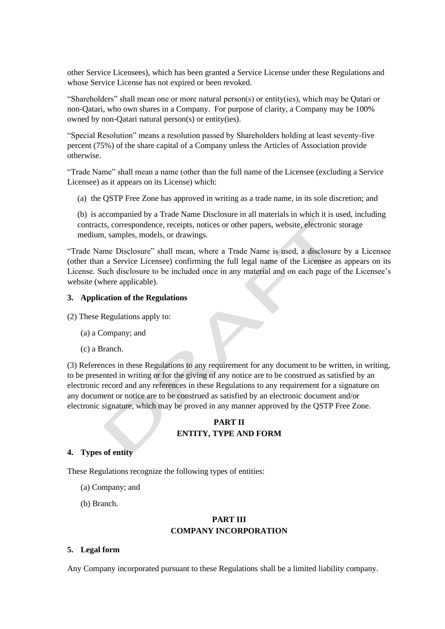other Service Licensees), which has been granted a Service License under these Regulations and whose Service License has not expired or been revoked.

"Shareholders" shall mean one or more natural person(s) or entity(ies), which may be Qatari or non-Qatari, who own shares in a Company. For purpose of clarity, a Company may be 100% owned by non-Qatari natural person(s) or entity(ies).

"Special Resolution" means a resolution passed by Shareholders holding at least seventy-five percent (75%) of the share capital of a Company unless the Articles of Association provide otherwise.

"Trade Name" shall mean a name (other than the full name of the Licensee (excluding a Service Licensee) as it appears on its License) which:

(a) the QSTP Free Zone has approved in writing as a trade name, in its sole discretion; and

(b) is accompanied by a Trade Name Disclosure in all materials in which it is used, including contracts, correspondence, receipts, notices or other papers, website, electronic storage medium, samples, models, or drawings.

"Trade Name Disclosure" shall mean, where a Trade Name is used, a disclosure by a Licensee (other than a Service Licensee) confirming the full legal name of the Licensee as appears on its License. Such disclosure to be included once in any material and on each page of the Licensee's website (where applicable).

#### **3. Application of the Regulations**

(2) These Regulations apply to:

- (a) a Company; and
- (c) a Branch.

(3) References in these Regulations to any requirement for any document to be written, in writing, to be presented in writing or for the giving of any notice are to be construed as satisfied by an electronic record and any references in these Regulations to any requirement for a signature on any document or notice are to be construed as satisfied by an electronic document and/or electronic signature, which may be proved in any manner approved by the QSTP Free Zone.

# **PART II ENTITY, TYPE AND FORM**

#### **4. Types of entity**

These Regulations recognize the following types of entities:

- (a) Company; and
- (b) Branch.

# **PART III COMPANY INCORPORATION**

#### **5. Legal form**

Any Company incorporated pursuant to these Regulations shall be a limited liability company.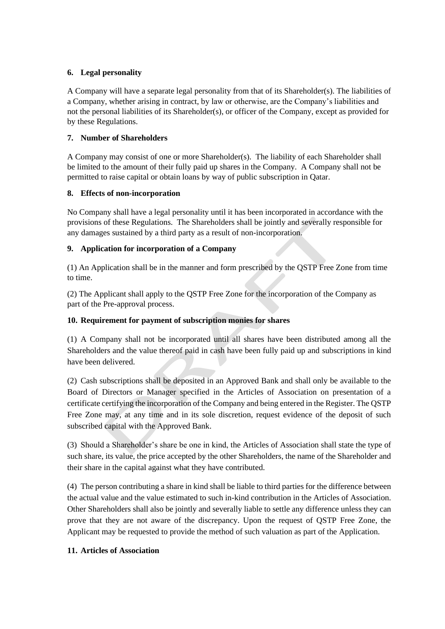# **6. Legal personality**

A Company will have a separate legal personality from that of its Shareholder(s). The liabilities of a Company, whether arising in contract, by law or otherwise, are the Company's liabilities and not the personal liabilities of its Shareholder(s), or officer of the Company, except as provided for by these Regulations.

# **7. Number of Shareholders**

A Company may consist of one or more Shareholder(s). The liability of each Shareholder shall be limited to the amount of their fully paid up shares in the Company. A Company shall not be permitted to raise capital or obtain loans by way of public subscription in Qatar.

# **8. Effects of non-incorporation**

No Company shall have a legal personality until it has been incorporated in accordance with the provisions of these Regulations. The Shareholders shall be jointly and severally responsible for any damages sustained by a third party as a result of non-incorporation.

# **9. Application for incorporation of a Company**

(1) An Application shall be in the manner and form prescribed by the QSTP Free Zone from time to time.

(2) The Applicant shall apply to the QSTP Free Zone for the incorporation of the Company as part of the Pre-approval process.

# **10. Requirement for payment of subscription monies for shares**

(1) A Company shall not be incorporated until all shares have been distributed among all the Shareholders and the value thereof paid in cash have been fully paid up and subscriptions in kind have been delivered.

(2) Cash subscriptions shall be deposited in an Approved Bank and shall only be available to the Board of Directors or Manager specified in the Articles of Association on presentation of a certificate certifying the incorporation of the Company and being entered in the Register. The QSTP Free Zone may, at any time and in its sole discretion, request evidence of the deposit of such subscribed capital with the Approved Bank.

(3) Should a Shareholder's share be one in kind, the Articles of Association shall state the type of such share, its value, the price accepted by the other Shareholders, the name of the Shareholder and their share in the capital against what they have contributed.

(4) The person contributing a share in kind shall be liable to third parties for the difference between the actual value and the value estimated to such in-kind contribution in the Articles of Association. Other Shareholders shall also be jointly and severally liable to settle any difference unless they can prove that they are not aware of the discrepancy. Upon the request of QSTP Free Zone, the Applicant may be requested to provide the method of such valuation as part of the Application.

# **11. Articles of Association**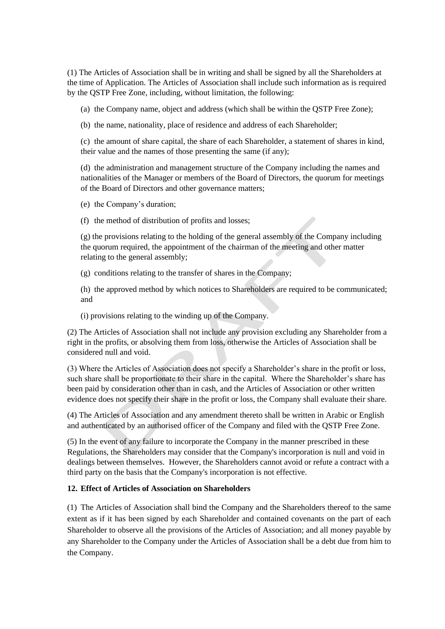(1) The Articles of Association shall be in writing and shall be signed by all the Shareholders at the time of Application. The Articles of Association shall include such information as is required by the QSTP Free Zone, including, without limitation, the following:

(a) the Company name, object and address (which shall be within the QSTP Free Zone);

(b) the name, nationality, place of residence and address of each Shareholder;

(c) the amount of share capital, the share of each Shareholder, a statement of shares in kind, their value and the names of those presenting the same (if any);

(d) the administration and management structure of the Company including the names and nationalities of the Manager or members of the Board of Directors, the quorum for meetings of the Board of Directors and other governance matters;

(e) the Company's duration;

(f) the method of distribution of profits and losses;

(g) the provisions relating to the holding of the general assembly of the Company including the quorum required, the appointment of the chairman of the meeting and other matter relating to the general assembly;

(g) conditions relating to the transfer of shares in the Company;

(h) the approved method by which notices to Shareholders are required to be communicated; and

(i) provisions relating to the winding up of the Company.

(2) The Articles of Association shall not include any provision excluding any Shareholder from a right in the profits, or absolving them from loss, otherwise the Articles of Association shall be considered null and void.

(3) Where the Articles of Association does not specify a Shareholder's share in the profit or loss, such share shall be proportionate to their share in the capital. Where the Shareholder's share has been paid by consideration other than in cash, and the Articles of Association or other written evidence does not specify their share in the profit or loss, the Company shall evaluate their share.

(4) The Articles of Association and any amendment thereto shall be written in Arabic or English and authenticated by an authorised officer of the Company and filed with the QSTP Free Zone.

(5) In the event of any failure to incorporate the Company in the manner prescribed in these Regulations, the Shareholders may consider that the Company's incorporation is null and void in dealings between themselves. However, the Shareholders cannot avoid or refute a contract with a third party on the basis that the Company's incorporation is not effective.

# **12. Effect of Articles of Association on Shareholders**

(1) The Articles of Association shall bind the Company and the Shareholders thereof to the same extent as if it has been signed by each Shareholder and contained covenants on the part of each Shareholder to observe all the provisions of the Articles of Association; and all money payable by any Shareholder to the Company under the Articles of Association shall be a debt due from him to the Company.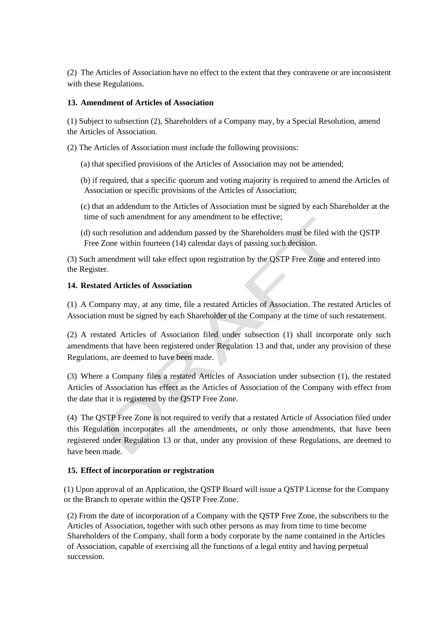(2) The Articles of Association have no effect to the extent that they contravene or are inconsistent with these Regulations.

# <span id="page-28-0"></span>**13. Amendment of Articles of Association**

(1) Subject to subsection (2), Shareholders of a Company may, by a Special Resolution, amend the Articles of Association.

(2) The Articles of Association must include the following provisions:

- (a) that specified provisions of the Articles of Association may not be amended;
- (b) if required, that a specific quorum and voting majority is required to amend the Articles of Association or specific provisions of the Articles of Association;
- (c) that an addendum to the Articles of Association must be signed by each Shareholder at the time of such amendment for any amendment to be effective;
- (d) such resolution and addendum passed by the Shareholders must be filed with the QSTP Free Zone within fourteen (14) calendar days of passing such decision.

(3) Such amendment will take effect upon registration by the QSTP Free Zone and entered into the Register.

## **14. Restated Articles of Association**

(1) A Company may, at any time, file a restated Articles of Association. The restated Articles of Association must be signed by each Shareholder of the Company at the time of such restatement.

(2) A restated Articles of Association filed under subsection (1) shall incorporate only such amendments that have been registered under Regulation [13](#page-28-0) and that, under any provision of these Regulations, are deemed to have been made.

(3) Where a Company files a restated Articles of Association under subsection (1), the restated Articles of Association has effect as the Articles of Association of the Company with effect from the date that it is registered by the QSTP Free Zone.

(4) The QSTP Free Zone is not required to verify that a restated Article of Association filed under this Regulation incorporates all the amendments, or only those amendments, that have been registered under Regulation [13](#page-28-0) or that, under any provision of these Regulations, are deemed to have been made.

# **15. Effect of incorporation or registration**

(1) Upon approval of an Application, the QSTP Board will issue a QSTP License for the Company or the Branch to operate within the QSTP Free Zone.

(2) From the date of incorporation of a Company with the QSTP Free Zone, the subscribers to the Articles of Association, together with such other persons as may from time to time become Shareholders of the Company, shall form a body corporate by the name contained in the Articles of Association, capable of exercising all the functions of a legal entity and having perpetual succession.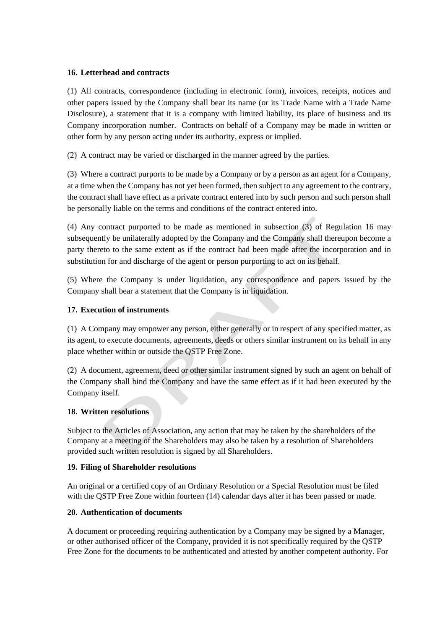## <span id="page-29-0"></span>**16. Letterhead and contracts**

(1) All contracts, correspondence (including in electronic form), invoices, receipts, notices and other papers issued by the Company shall bear its name (or its Trade Name with a Trade Name Disclosure), a statement that it is a company with limited liability, its place of business and its Company incorporation number. Contracts on behalf of a Company may be made in written or other form by any person acting under its authority, express or implied.

(2) A contract may be varied or discharged in the manner agreed by the parties.

(3) Where a contract purports to be made by a Company or by a person as an agent for a Company, at a time when the Company has not yet been formed, then subject to any agreement to the contrary, the contract shall have effect as a private contract entered into by such person and such person shall be personally liable on the terms and conditions of the contract entered into.

(4) Any contract purported to be made as mentioned in subsection (3) of Regulation [16](#page-29-0) may subsequently be unilaterally adopted by the Company and the Company shall thereupon become a party thereto to the same extent as if the contract had been made after the incorporation and in substitution for and discharge of the agent or person purporting to act on its behalf.

(5) Where the Company is under liquidation, any correspondence and papers issued by the Company shall bear a statement that the Company is in liquidation.

# **17. Execution of instruments**

(1) A Company may empower any person, either generally or in respect of any specified matter, as its agent, to execute documents, agreements, deeds or others similar instrument on its behalf in any place whether within or outside the QSTP Free Zone.

(2) A document, agreement, deed or other similar instrument signed by such an agent on behalf of the Company shall bind the Company and have the same effect as if it had been executed by the Company itself.

# **18. Written resolutions**

Subject to the Articles of Association, any action that may be taken by the shareholders of the Company at a meeting of the Shareholders may also be taken by a resolution of Shareholders provided such written resolution is signed by all Shareholders.

#### **19. Filing of Shareholder resolutions**

An original or a certified copy of an Ordinary Resolution or a Special Resolution must be filed with the QSTP Free Zone within fourteen (14) calendar days after it has been passed or made.

#### **20. Authentication of documents**

A document or proceeding requiring authentication by a Company may be signed by a Manager, or other authorised officer of the Company, provided it is not specifically required by the QSTP Free Zone for the documents to be authenticated and attested by another competent authority. For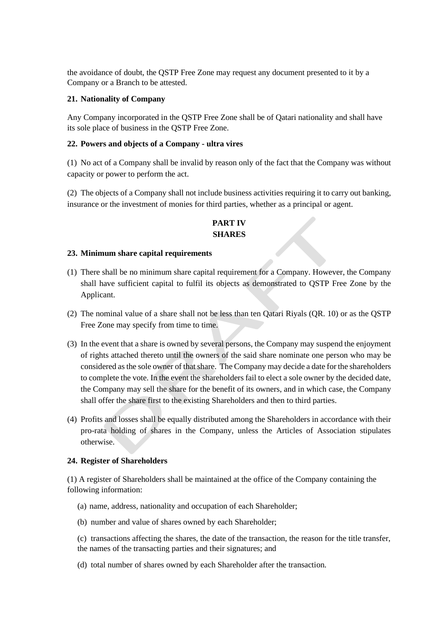the avoidance of doubt, the QSTP Free Zone may request any document presented to it by a Company or a Branch to be attested.

#### **21. Nationality of Company**

Any Company incorporated in the QSTP Free Zone shall be of Qatari nationality and shall have its sole place of business in the QSTP Free Zone.

#### **22. Powers and objects of a Company - ultra vires**

(1) No act of a Company shall be invalid by reason only of the fact that the Company was without capacity or power to perform the act.

(2) The objects of a Company shall not include business activities requiring it to carry out banking, insurance or the investment of monies for third parties, whether as a principal or agent.

# **PART IV SHARES**

## **23. Minimum share capital requirements**

- (1) There shall be no minimum share capital requirement for a Company. However, the Company shall have sufficient capital to fulfil its objects as demonstrated to QSTP Free Zone by the Applicant.
- (2) The nominal value of a share shall not be less than ten Qatari Riyals (QR. 10) or as the QSTP Free Zone may specify from time to time.
- (3) In the event that a share is owned by several persons, the Company may suspend the enjoyment of rights attached thereto until the owners of the said share nominate one person who may be considered as the sole owner of that share. The Company may decide a date for the shareholders to complete the vote. In the event the shareholders fail to elect a sole owner by the decided date, the Company may sell the share for the benefit of its owners, and in which case, the Company shall offer the share first to the existing Shareholders and then to third parties.
- (4) Profits and losses shall be equally distributed among the Shareholders in accordance with their pro-rata holding of shares in the Company, unless the Articles of Association stipulates otherwise.

#### **24. Register of Shareholders**

(1) A register of Shareholders shall be maintained at the office of the Company containing the following information:

- (a) name, address, nationality and occupation of each Shareholder;
- (b) number and value of shares owned by each Shareholder;
- (c) transactions affecting the shares, the date of the transaction, the reason for the title transfer, the names of the transacting parties and their signatures; and
- (d) total number of shares owned by each Shareholder after the transaction.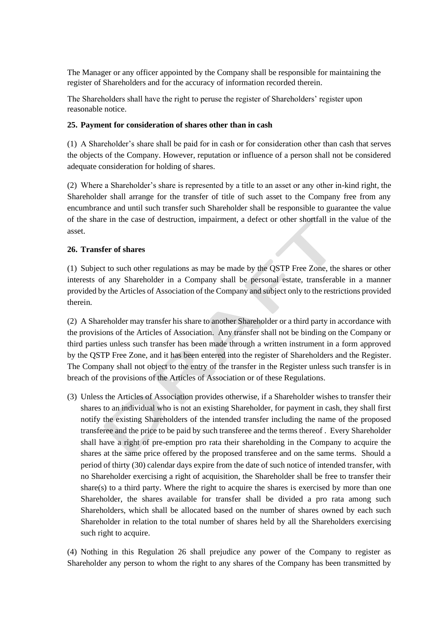The Manager or any officer appointed by the Company shall be responsible for maintaining the register of Shareholders and for the accuracy of information recorded therein.

The Shareholders shall have the right to peruse the register of Shareholders' register upon reasonable notice.

#### **25. Payment for consideration of shares other than in cash**

(1) A Shareholder's share shall be paid for in cash or for consideration other than cash that serves the objects of the Company. However, reputation or influence of a person shall not be considered adequate consideration for holding of shares.

(2) Where a Shareholder's share is represented by a title to an asset or any other in-kind right, the Shareholder shall arrange for the transfer of title of such asset to the Company free from any encumbrance and until such transfer such Shareholder shall be responsible to guarantee the value of the share in the case of destruction, impairment, a defect or other shortfall in the value of the asset.

#### <span id="page-31-0"></span>**26. Transfer of shares**

(1) Subject to such other regulations as may be made by the QSTP Free Zone, the shares or other interests of any Shareholder in a Company shall be personal estate, transferable in a manner provided by the Articles of Association of the Company and subject only to the restrictions provided therein.

(2) A Shareholder may transfer his share to another Shareholder or a third party in accordance with the provisions of the Articles of Association. Any transfer shall not be binding on the Company or third parties unless such transfer has been made through a written instrument in a form approved by the QSTP Free Zone, and it has been entered into the register of Shareholders and the Register. The Company shall not object to the entry of the transfer in the Register unless such transfer is in breach of the provisions of the Articles of Association or of these Regulations.

(3) Unless the Articles of Association provides otherwise, if a Shareholder wishes to transfer their shares to an individual who is not an existing Shareholder, for payment in cash, they shall first notify the existing Shareholders of the intended transfer including the name of the proposed transferee and the price to be paid by such transferee and the terms thereof . Every Shareholder shall have a right of pre-emption pro rata their shareholding in the Company to acquire the shares at the same price offered by the proposed transferee and on the same terms. Should a period of thirty (30) calendar days expire from the date of such notice of intended transfer, with no Shareholder exercising a right of acquisition, the Shareholder shall be free to transfer their share(s) to a third party. Where the right to acquire the shares is exercised by more than one Shareholder, the shares available for transfer shall be divided a pro rata among such Shareholders, which shall be allocated based on the number of shares owned by each such Shareholder in relation to the total number of shares held by all the Shareholders exercising such right to acquire.

(4) Nothing in this Regulation [26](#page-31-0) shall prejudice any power of the Company to register as Shareholder any person to whom the right to any shares of the Company has been transmitted by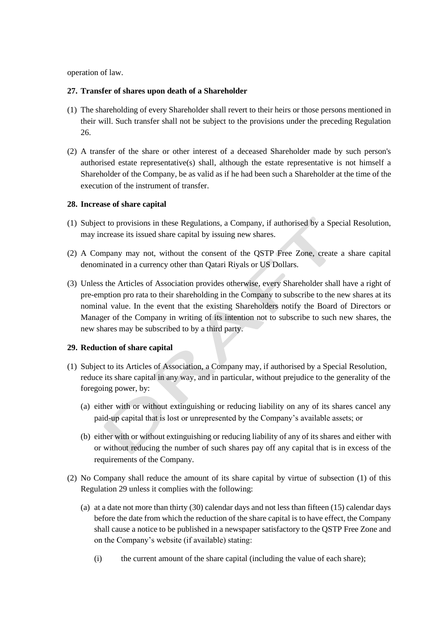operation of law.

#### **27. Transfer of shares upon death of a Shareholder**

- (1) The shareholding of every Shareholder shall revert to their heirs or those persons mentioned in their will. Such transfer shall not be subject to the provisions under the preceding Regulation [26.](#page-31-0)
- (2) A transfer of the share or other interest of a deceased Shareholder made by such person's authorised estate representative(s) shall, although the estate representative is not himself a Shareholder of the Company, be as valid as if he had been such a Shareholder at the time of the execution of the instrument of transfer.

#### **28. Increase of share capital**

- (1) Subject to provisions in these Regulations, a Company, if authorised by a Special Resolution, may increase its issued share capital by issuing new shares.
- (2) A Company may not, without the consent of the QSTP Free Zone, create a share capital denominated in a currency other than Qatari Riyals or US Dollars.
- (3) Unless the Articles of Association provides otherwise, every Shareholder shall have a right of pre-emption pro rata to their shareholding in the Company to subscribe to the new shares at its nominal value. In the event that the existing Shareholders notify the Board of Directors or Manager of the Company in writing of its intention not to subscribe to such new shares, the new shares may be subscribed to by a third party.

#### <span id="page-32-0"></span>**29. Reduction of share capital**

- (1) Subject to its Articles of Association, a Company may, if authorised by a Special Resolution, reduce its share capital in any way, and in particular, without prejudice to the generality of the foregoing power, by:
	- (a) either with or without extinguishing or reducing liability on any of its shares cancel any paid-up capital that is lost or unrepresented by the Company's available assets; or
	- (b) either with or without extinguishing or reducing liability of any of its shares and either with or without reducing the number of such shares pay off any capital that is in excess of the requirements of the Company.
- (2) No Company shall reduce the amount of its share capital by virtue of subsection (1) of this Regulation [29](#page-32-0) unless it complies with the following:
	- (a) at a date not more than thirty (30) calendar days and not less than fifteen (15) calendar days before the date from which the reduction of the share capital is to have effect, the Company shall cause a notice to be published in a newspaper satisfactory to the QSTP Free Zone and on the Company's website (if available) stating:
		- (i) the current amount of the share capital (including the value of each share);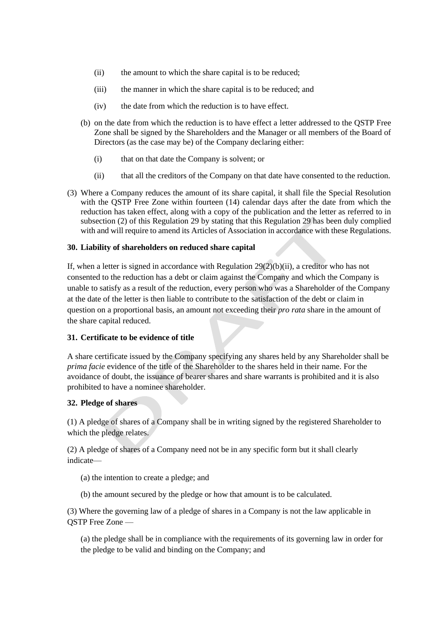- (ii) the amount to which the share capital is to be reduced;
- (iii) the manner in which the share capital is to be reduced; and
- (iv) the date from which the reduction is to have effect.
- (b) on the date from which the reduction is to have effect a letter addressed to the QSTP Free Zone shall be signed by the Shareholders and the Manager or all members of the Board of Directors (as the case may be) of the Company declaring either:
	- (i) that on that date the Company is solvent; or
	- (ii) that all the creditors of the Company on that date have consented to the reduction.
- (3) Where a Company reduces the amount of its share capital, it shall file the Special Resolution with the QSTP Free Zone within fourteen (14) calendar days after the date from which the reduction has taken effect, along with a copy of the publication and the letter as referred to in subsection (2) of this Regulation [29](#page-32-0) by stating that this Regulatio[n 29](#page-32-0) has been duly complied with and will require to amend its Articles of Association in accordance with these Regulations.

#### **30. Liability of shareholders on reduced share capital**

If, when a letter is signed in accordance with Regulation [29\(](#page-32-0)2)(b)(ii), a creditor who has not consented to the reduction has a debt or claim against the Company and which the Company is unable to satisfy as a result of the reduction, every person who was a Shareholder of the Company at the date of the letter is then liable to contribute to the satisfaction of the debt or claim in question on a proportional basis, an amount not exceeding their *pro rata* share in the amount of the share capital reduced.

#### **31. Certificate to be evidence of title**

A share certificate issued by the Company specifying any shares held by any Shareholder shall be *prima facie* evidence of the title of the Shareholder to the shares held in their name. For the avoidance of doubt, the issuance of bearer shares and share warrants is prohibited and it is also prohibited to have a nominee shareholder.

#### **32. Pledge of shares**

(1) A pledge of shares of a Company shall be in writing signed by the registered Shareholder to which the pledge relates.

(2) A pledge of shares of a Company need not be in any specific form but it shall clearly indicate—

- (a) the intention to create a pledge; and
- (b) the amount secured by the pledge or how that amount is to be calculated.

(3) Where the governing law of a pledge of shares in a Company is not the law applicable in QSTP Free Zone —

(a) the pledge shall be in compliance with the requirements of its governing law in order for the pledge to be valid and binding on the Company; and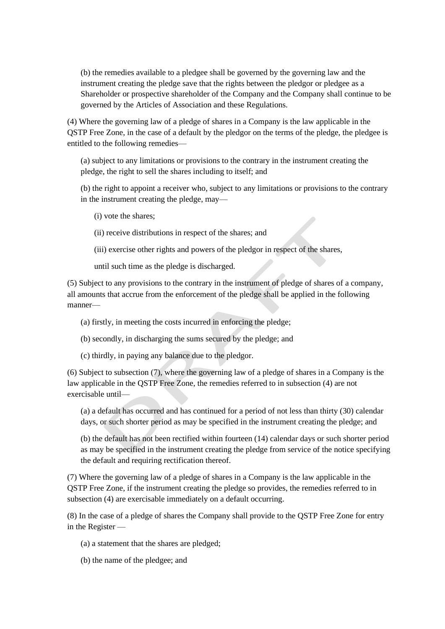(b) the remedies available to a pledgee shall be governed by the governing law and the instrument creating the pledge save that the rights between the pledgor or pledgee as a Shareholder or prospective shareholder of the Company and the Company shall continue to be governed by the Articles of Association and these Regulations.

(4) Where the governing law of a pledge of shares in a Company is the law applicable in the QSTP Free Zone, in the case of a default by the pledgor on the terms of the pledge, the pledgee is entitled to the following remedies—

(a) subject to any limitations or provisions to the contrary in the instrument creating the pledge, the right to sell the shares including to itself; and

(b) the right to appoint a receiver who, subject to any limitations or provisions to the contrary in the instrument creating the pledge, may—

(i) vote the shares;

(ii) receive distributions in respect of the shares; and

(iii) exercise other rights and powers of the pledgor in respect of the shares,

until such time as the pledge is discharged.

(5) Subject to any provisions to the contrary in the instrument of pledge of shares of a company, all amounts that accrue from the enforcement of the pledge shall be applied in the following manner—

- (a) firstly, in meeting the costs incurred in enforcing the pledge;
- (b) secondly, in discharging the sums secured by the pledge; and
- (c) thirdly, in paying any balance due to the pledgor.

(6) Subject to subsection (7), where the governing law of a pledge of shares in a Company is the law applicable in the QSTP Free Zone, the remedies referred to in subsection (4) are not exercisable until—

(a) a default has occurred and has continued for a period of not less than thirty (30) calendar days, or such shorter period as may be specified in the instrument creating the pledge; and

(b) the default has not been rectified within fourteen (14) calendar days or such shorter period as may be specified in the instrument creating the pledge from service of the notice specifying the default and requiring rectification thereof.

(7) Where the governing law of a pledge of shares in a Company is the law applicable in the QSTP Free Zone, if the instrument creating the pledge so provides, the remedies referred to in subsection (4) are exercisable immediately on a default occurring.

(8) In the case of a pledge of shares the Company shall provide to the QSTP Free Zone for entry in the Register —

- (a) a statement that the shares are pledged;
- (b) the name of the pledgee; and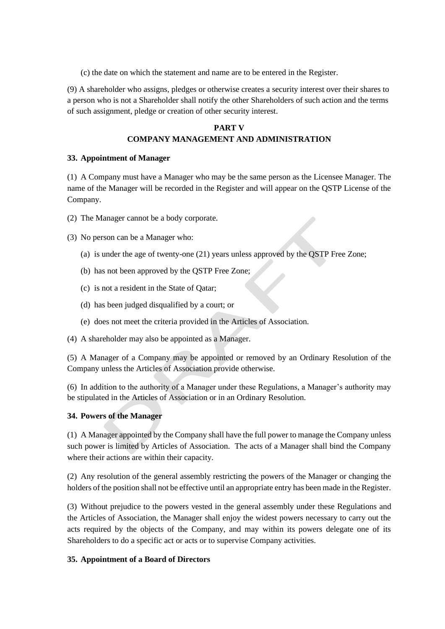(c) the date on which the statement and name are to be entered in the Register.

(9) A shareholder who assigns, pledges or otherwise creates a security interest over their shares to a person who is not a Shareholder shall notify the other Shareholders of such action and the terms of such assignment, pledge or creation of other security interest.

# **PART V COMPANY MANAGEMENT AND ADMINISTRATION**

#### **33. Appointment of Manager**

(1) A Company must have a Manager who may be the same person as the Licensee Manager. The name of the Manager will be recorded in the Register and will appear on the QSTP License of the Company.

(2) The Manager cannot be a body corporate.

(3) No person can be a Manager who:

- (a) is under the age of twenty-one (21) years unless approved by the QSTP Free Zone;
- (b) has not been approved by the QSTP Free Zone;
- (c) is not a resident in the State of Qatar;
- (d) has been judged disqualified by a court; or
- (e) does not meet the criteria provided in the Articles of Association.
- (4) A shareholder may also be appointed as a Manager.

(5) A Manager of a Company may be appointed or removed by an Ordinary Resolution of the Company unless the Articles of Association provide otherwise.

(6) In addition to the authority of a Manager under these Regulations, a Manager's authority may be stipulated in the Articles of Association or in an Ordinary Resolution.

#### **34. Powers of the Manager**

(1) A Manager appointed by the Company shall have the full power to manage the Company unless such power is limited by Articles of Association. The acts of a Manager shall bind the Company where their actions are within their capacity.

(2) Any resolution of the general assembly restricting the powers of the Manager or changing the holders of the position shall not be effective until an appropriate entry has been made in the Register.

(3) Without prejudice to the powers vested in the general assembly under these Regulations and the Articles of Association, the Manager shall enjoy the widest powers necessary to carry out the acts required by the objects of the Company, and may within its powers delegate one of its Shareholders to do a specific act or acts or to supervise Company activities.

#### <span id="page-35-0"></span>**35. Appointment of a Board of Directors**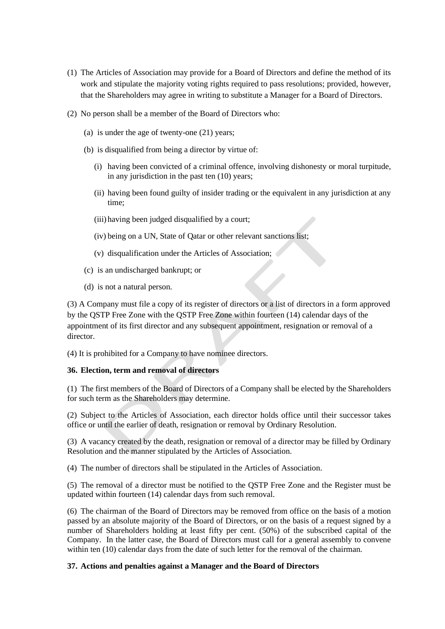- (1) The Articles of Association may provide for a Board of Directors and define the method of its work and stipulate the majority voting rights required to pass resolutions; provided, however, that the Shareholders may agree in writing to substitute a Manager for a Board of Directors.
- (2) No person shall be a member of the Board of Directors who:
	- (a) is under the age of twenty-one (21) years;
	- (b) is disqualified from being a director by virtue of:
		- (i) having been convicted of a criminal offence, involving dishonesty or moral turpitude, in any jurisdiction in the past ten (10) years;
		- (ii) having been found guilty of insider trading or the equivalent in any jurisdiction at any time;
		- (iii) having been judged disqualified by a court;
		- (iv) being on a UN, State of Qatar or other relevant sanctions list;
		- (v) disqualification under the Articles of Association;
	- (c) is an undischarged bankrupt; or
	- (d) is not a natural person.

(3) A Company must file a copy of its register of directors or a list of directors in a form approved by the QSTP Free Zone with the QSTP Free Zone within fourteen (14) calendar days of the appointment of its first director and any subsequent appointment, resignation or removal of a director.

(4) It is prohibited for a Company to have nominee directors.

#### **36. Election, term and removal of directors**

(1) The first members of the Board of Directors of a Company shall be elected by the Shareholders for such term as the Shareholders may determine.

(2) Subject to the Articles of Association, each director holds office until their successor takes office or until the earlier of death, resignation or removal by Ordinary Resolution.

(3) A vacancy created by the death, resignation or removal of a director may be filled by Ordinary Resolution and the manner stipulated by the Articles of Association.

(4) The number of directors shall be stipulated in the Articles of Association.

(5) The removal of a director must be notified to the QSTP Free Zone and the Register must be updated within fourteen (14) calendar days from such removal.

(6) The chairman of the Board of Directors may be removed from office on the basis of a motion passed by an absolute majority of the Board of Directors, or on the basis of a request signed by a number of Shareholders holding at least fifty per cent. (50%) of the subscribed capital of the Company. In the latter case, the Board of Directors must call for a general assembly to convene within ten (10) calendar days from the date of such letter for the removal of the chairman.

#### **37. Actions and penalties against a Manager and the Board of Directors**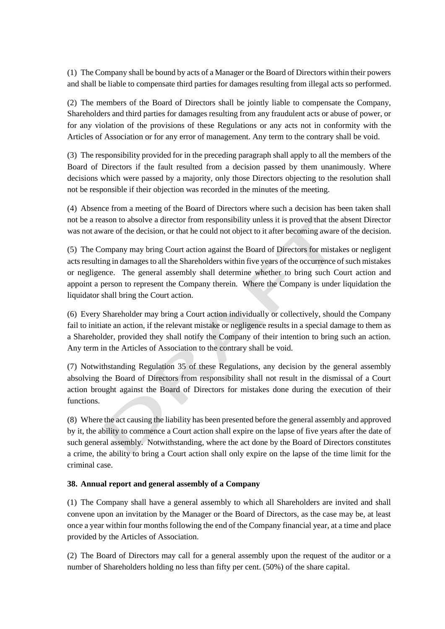(1) The Company shall be bound by acts of a Manager or the Board of Directors within their powers and shall be liable to compensate third parties for damages resulting from illegal acts so performed.

(2) The members of the Board of Directors shall be jointly liable to compensate the Company, Shareholders and third parties for damages resulting from any fraudulent acts or abuse of power, or for any violation of the provisions of these Regulations or any acts not in conformity with the Articles of Association or for any error of management. Any term to the contrary shall be void.

(3) The responsibility provided for in the preceding paragraph shall apply to all the members of the Board of Directors if the fault resulted from a decision passed by them unanimously. Where decisions which were passed by a majority, only those Directors objecting to the resolution shall not be responsible if their objection was recorded in the minutes of the meeting.

(4) Absence from a meeting of the Board of Directors where such a decision has been taken shall not be a reason to absolve a director from responsibility unless it is proved that the absent Director was not aware of the decision, or that he could not object to it after becoming aware of the decision.

(5) The Company may bring Court action against the Board of Directors for mistakes or negligent acts resulting in damages to all the Shareholders within five years of the occurrence of such mistakes or negligence. The general assembly shall determine whether to bring such Court action and appoint a person to represent the Company therein. Where the Company is under liquidation the liquidator shall bring the Court action.

(6) Every Shareholder may bring a Court action individually or collectively, should the Company fail to initiate an action, if the relevant mistake or negligence results in a special damage to them as a Shareholder, provided they shall notify the Company of their intention to bring such an action. Any term in the Articles of Association to the contrary shall be void.

(7) Notwithstanding Regulation [35](#page-35-0) of these Regulations, any decision by the general assembly absolving the Board of Directors from responsibility shall not result in the dismissal of a Court action brought against the Board of Directors for mistakes done during the execution of their functions.

(8) Where the act causing the liability has been presented before the general assembly and approved by it, the ability to commence a Court action shall expire on the lapse of five years after the date of such general assembly. Notwithstanding, where the act done by the Board of Directors constitutes a crime, the ability to bring a Court action shall only expire on the lapse of the time limit for the criminal case.

#### **38. Annual report and general assembly of a Company**

(1) The Company shall have a general assembly to which all Shareholders are invited and shall convene upon an invitation by the Manager or the Board of Directors, as the case may be, at least once a year within four months following the end of the Company financial year, at a time and place provided by the Articles of Association.

(2) The Board of Directors may call for a general assembly upon the request of the auditor or a number of Shareholders holding no less than fifty per cent. (50%) of the share capital.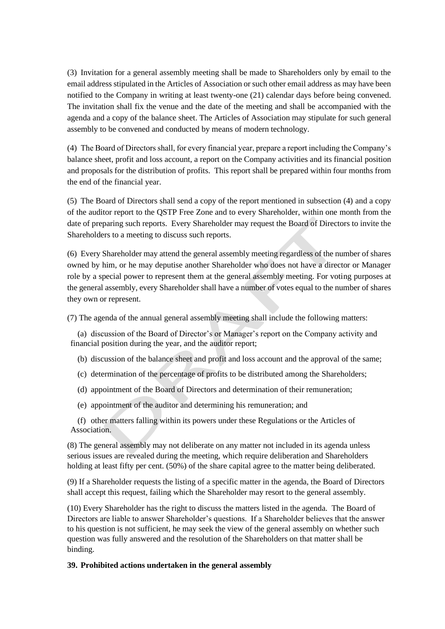(3) Invitation for a general assembly meeting shall be made to Shareholders only by email to the email address stipulated in the Articles of Association or such other email address as may have been notified to the Company in writing at least twenty-one (21) calendar days before being convened. The invitation shall fix the venue and the date of the meeting and shall be accompanied with the agenda and a copy of the balance sheet. The Articles of Association may stipulate for such general assembly to be convened and conducted by means of modern technology.

(4) The Board of Directors shall, for every financial year, prepare a report including the Company's balance sheet, profit and loss account, a report on the Company activities and its financial position and proposals for the distribution of profits. This report shall be prepared within four months from the end of the financial year.

(5) The Board of Directors shall send a copy of the report mentioned in subsection (4) and a copy of the auditor report to the QSTP Free Zone and to every Shareholder, within one month from the date of preparing such reports. Every Shareholder may request the Board of Directors to invite the Shareholders to a meeting to discuss such reports.

(6) Every Shareholder may attend the general assembly meeting regardless of the number of shares owned by him, or he may deputise another Shareholder who does not have a director or Manager role by a special power to represent them at the general assembly meeting. For voting purposes at the general assembly, every Shareholder shall have a number of votes equal to the number of shares they own or represent.

(7) The agenda of the annual general assembly meeting shall include the following matters:

(a) discussion of the Board of Director's or Manager's report on the Company activity and financial position during the year, and the auditor report;

- (b) discussion of the balance sheet and profit and loss account and the approval of the same;
- (c) determination of the percentage of profits to be distributed among the Shareholders;
- (d) appointment of the Board of Directors and determination of their remuneration;
- (e) appointment of the auditor and determining his remuneration; and

(f) other matters falling within its powers under these Regulations or the Articles of Association.

(8) The general assembly may not deliberate on any matter not included in its agenda unless serious issues are revealed during the meeting, which require deliberation and Shareholders holding at least fifty per cent. (50%) of the share capital agree to the matter being deliberated.

(9) If a Shareholder requests the listing of a specific matter in the agenda, the Board of Directors shall accept this request, failing which the Shareholder may resort to the general assembly.

(10) Every Shareholder has the right to discuss the matters listed in the agenda. The Board of Directors are liable to answer Shareholder's questions. If a Shareholder believes that the answer to his question is not sufficient, he may seek the view of the general assembly on whether such question was fully answered and the resolution of the Shareholders on that matter shall be binding.

#### **39. Prohibited actions undertaken in the general assembly**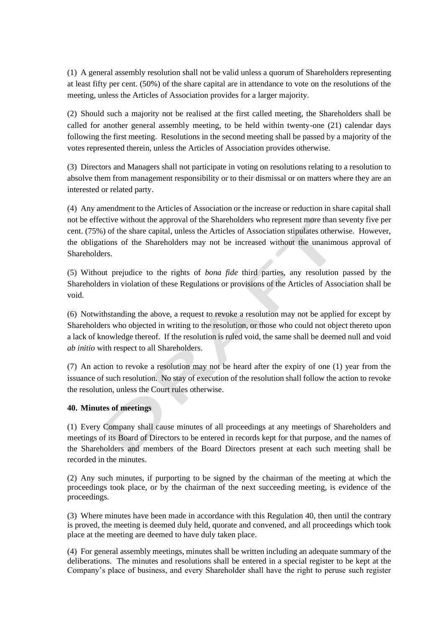(1) A general assembly resolution shall not be valid unless a quorum of Shareholders representing at least fifty per cent. (50%) of the share capital are in attendance to vote on the resolutions of the meeting, unless the Articles of Association provides for a larger majority.

(2) Should such a majority not be realised at the first called meeting, the Shareholders shall be called for another general assembly meeting, to be held within twenty-one (21) calendar days following the first meeting. Resolutions in the second meeting shall be passed by a majority of the votes represented therein, unless the Articles of Association provides otherwise.

(3) Directors and Managers shall not participate in voting on resolutions relating to a resolution to absolve them from management responsibility or to their dismissal or on matters where they are an interested or related party.

(4) Any amendment to the Articles of Association or the increase or reduction in share capital shall not be effective without the approval of the Shareholders who represent more than seventy five per cent. (75%) of the share capital, unless the Articles of Association stipulates otherwise. However, the obligations of the Shareholders may not be increased without the unanimous approval of Shareholders.

(5) Without prejudice to the rights of *bona fide* third parties, any resolution passed by the Shareholders in violation of these Regulations or provisions of the Articles of Association shall be void.

(6) Notwithstanding the above, a request to revoke a resolution may not be applied for except by Shareholders who objected in writing to the resolution, or those who could not object thereto upon a lack of knowledge thereof. If the resolution is ruled void, the same shall be deemed null and void *ab initio* with respect to all Shareholders.

(7) An action to revoke a resolution may not be heard after the expiry of one (1) year from the issuance of such resolution. No stay of execution of the resolution shall follow the action to revoke the resolution, unless the Court rules otherwise.

# <span id="page-39-0"></span>**40. Minutes of meetings**

(1) Every Company shall cause minutes of all proceedings at any meetings of Shareholders and meetings of its Board of Directors to be entered in records kept for that purpose, and the names of the Shareholders and members of the Board Directors present at each such meeting shall be recorded in the minutes.

(2) Any such minutes, if purporting to be signed by the chairman of the meeting at which the proceedings took place, or by the chairman of the next succeeding meeting, is evidence of the proceedings.

(3) Where minutes have been made in accordance with this Regulation [40,](#page-39-0) then until the contrary is proved, the meeting is deemed duly held, quorate and convened, and all proceedings which took place at the meeting are deemed to have duly taken place.

(4) For general assembly meetings, minutes shall be written including an adequate summary of the deliberations. The minutes and resolutions shall be entered in a special register to be kept at the Company's place of business, and every Shareholder shall have the right to peruse such register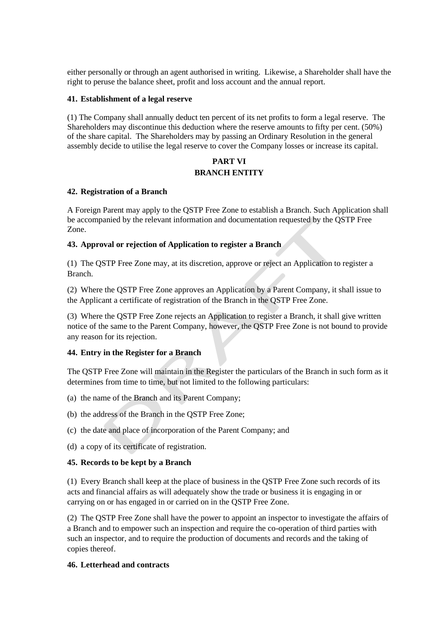either personally or through an agent authorised in writing. Likewise, a Shareholder shall have the right to peruse the balance sheet, profit and loss account and the annual report.

#### **41. Establishment of a legal reserve**

(1) The Company shall annually deduct ten percent of its net profits to form a legal reserve. The Shareholders may discontinue this deduction where the reserve amounts to fifty per cent. (50%) of the share capital. The Shareholders may by passing an Ordinary Resolution in the general assembly decide to utilise the legal reserve to cover the Company losses or increase its capital.

# **PART VI BRANCH ENTITY**

#### **42. Registration of a Branch**

A Foreign Parent may apply to the QSTP Free Zone to establish a Branch. Such Application shall be accompanied by the relevant information and documentation requested by the QSTP Free Zone.

#### **43. Approval or rejection of Application to register a Branch**

(1) The QSTP Free Zone may, at its discretion, approve or reject an Application to register a Branch.

(2) Where the QSTP Free Zone approves an Application by a Parent Company, it shall issue to the Applicant a certificate of registration of the Branch in the QSTP Free Zone.

(3) Where the QSTP Free Zone rejects an Application to register a Branch, it shall give written notice of the same to the Parent Company, however, the QSTP Free Zone is not bound to provide any reason for its rejection.

#### **44. Entry in the Register for a Branch**

The QSTP Free Zone will maintain in the Register the particulars of the Branch in such form as it determines from time to time, but not limited to the following particulars:

- (a) the name of the Branch and its Parent Company;
- (b) the address of the Branch in the QSTP Free Zone;
- (c) the date and place of incorporation of the Parent Company; and
- (d) a copy of its certificate of registration.

#### **45. Records to be kept by a Branch**

(1) Every Branch shall keep at the place of business in the QSTP Free Zone such records of its acts and financial affairs as will adequately show the trade or business it is engaging in or carrying on or has engaged in or carried on in the QSTP Free Zone.

(2) The QSTP Free Zone shall have the power to appoint an inspector to investigate the affairs of a Branch and to empower such an inspection and require the co-operation of third parties with such an inspector, and to require the production of documents and records and the taking of copies thereof.

#### **46. Letterhead and contracts**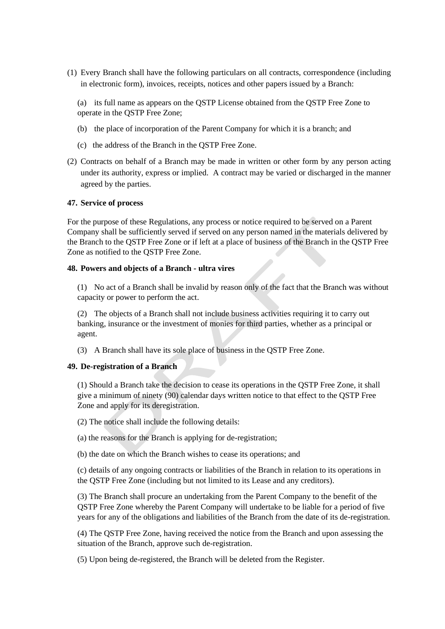- (1) Every Branch shall have the following particulars on all contracts, correspondence (including in electronic form), invoices, receipts, notices and other papers issued by a Branch:
	- (a) its full name as appears on the QSTP License obtained from the QSTP Free Zone to operate in the QSTP Free Zone;
	- (b) the place of incorporation of the Parent Company for which it is a branch; and
	- (c) the address of the Branch in the QSTP Free Zone.
- (2) Contracts on behalf of a Branch may be made in written or other form by any person acting under its authority, express or implied. A contract may be varied or discharged in the manner agreed by the parties.

#### **47. Service of process**

For the purpose of these Regulations, any process or notice required to be served on a Parent Company shall be sufficiently served if served on any person named in the materials delivered by the Branch to the QSTP Free Zone or if left at a place of business of the Branch in the QSTP Free Zone as notified to the QSTP Free Zone.

#### **48. Powers and objects of a Branch - ultra vires**

(1) No act of a Branch shall be invalid by reason only of the fact that the Branch was without capacity or power to perform the act.

(2) The objects of a Branch shall not include business activities requiring it to carry out banking, insurance or the investment of monies for third parties, whether as a principal or agent.

(3) A Branch shall have its sole place of business in the QSTP Free Zone.

#### **49. De-registration of a Branch**

(1) Should a Branch take the decision to cease its operations in the QSTP Free Zone, it shall give a minimum of ninety (90) calendar days written notice to that effect to the QSTP Free Zone and apply for its deregistration.

(2) The notice shall include the following details:

(a) the reasons for the Branch is applying for de-registration;

(b) the date on which the Branch wishes to cease its operations; and

(c) details of any ongoing contracts or liabilities of the Branch in relation to its operations in the QSTP Free Zone (including but not limited to its Lease and any creditors).

(3) The Branch shall procure an undertaking from the Parent Company to the benefit of the QSTP Free Zone whereby the Parent Company will undertake to be liable for a period of five years for any of the obligations and liabilities of the Branch from the date of its de-registration.

(4) The QSTP Free Zone, having received the notice from the Branch and upon assessing the situation of the Branch, approve such de-registration.

(5) Upon being de-registered, the Branch will be deleted from the Register.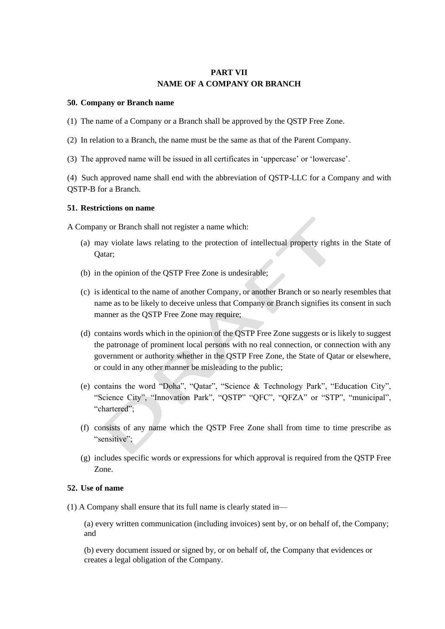# **PART VII NAME OF A COMPANY OR BRANCH**

#### <span id="page-42-0"></span>**50. Company or Branch name**

(1) The name of a Company or a Branch shall be approved by the QSTP Free Zone.

(2) In relation to a Branch, the name must be the same as that of the Parent Company.

(3) The approved name will be issued in all certificates in 'uppercase' or 'lowercase'.

(4) Such approved name shall end with the abbreviation of QSTP-LLC for a Company and with QSTP-B for a Branch.

#### **51. Restrictions on name**

A Company or Branch shall not register a name which:

- (a) may violate laws relating to the protection of intellectual property rights in the State of Qatar;
- (b) in the opinion of the QSTP Free Zone is undesirable;
- (c) is identical to the name of another Company, or another Branch or so nearly resembles that name as to be likely to deceive unless that Company or Branch signifies its consent in such manner as the QSTP Free Zone may require;
- (d) contains words which in the opinion of the QSTP Free Zone suggests or is likely to suggest the patronage of prominent local persons with no real connection, or connection with any government or authority whether in the QSTP Free Zone, the State of Qatar or elsewhere, or could in any other manner be misleading to the public;
- (e) contains the word "Doha", "Qatar", "Science & Technology Park", "Education City", "Science City", "Innovation Park", "QSTP" "QFC", "QFZA" or "STP", "municipal", "chartered";
- (f) consists of any name which the QSTP Free Zone shall from time to time prescribe as "sensitive":
- (g) includes specific words or expressions for which approval is required from the QSTP Free Zone.

#### **52. Use of name**

(1) A Company shall ensure that its full name is clearly stated in—

(a) every written communication (including invoices) sent by, or on behalf of, the Company; and

(b) every document issued or signed by, or on behalf of, the Company that evidences or creates a legal obligation of the Company.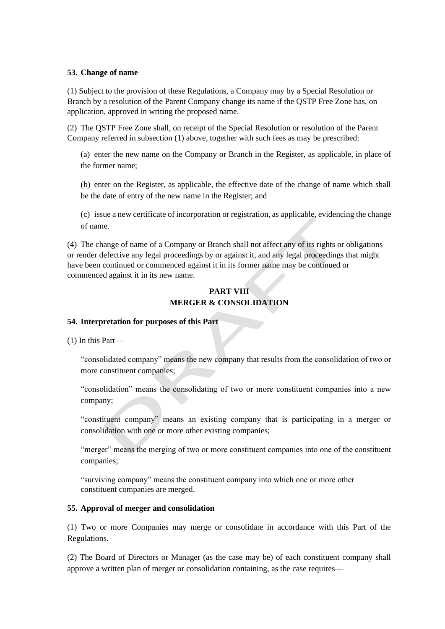#### **53. Change of name**

(1) Subject to the provision of these Regulations, a Company may by a Special Resolution or Branch by a resolution of the Parent Company change its name if the QSTP Free Zone has, on application, approved in writing the proposed name.

(2) The QSTP Free Zone shall, on receipt of the Special Resolution or resolution of the Parent Company referred in subsection (1) above, together with such fees as may be prescribed:

(a) enter the new name on the Company or Branch in the Register, as applicable, in place of the former name;

(b) enter on the Register, as applicable, the effective date of the change of name which shall be the date of entry of the new name in the Register; and

(c) issue a new certificate of incorporation or registration, as applicable, evidencing the change of name.

(4) The change of name of a Company or Branch shall not affect any of its rights or obligations or render defective any legal proceedings by or against it, and any legal proceedings that might have been continued or commenced against it in its former name may be continued or commenced against it in its new name.

# **PART VIII MERGER & CONSOLIDATION**

#### **54. Interpretation for purposes of this Part**

(1) In this Part—

"consolidated company" means the new company that results from the consolidation of two or more constituent companies;

"consolidation" means the consolidating of two or more constituent companies into a new company;

"constituent company" means an existing company that is participating in a merger or consolidation with one or more other existing companies;

"merger" means the merging of two or more constituent companies into one of the constituent companies;

"surviving company" means the constituent company into which one or more other constituent companies are merged.

#### **55. Approval of merger and consolidation**

(1) Two or more Companies may merge or consolidate in accordance with this Part of the Regulations.

(2) The Board of Directors or Manager (as the case may be) of each constituent company shall approve a written plan of merger or consolidation containing, as the case requires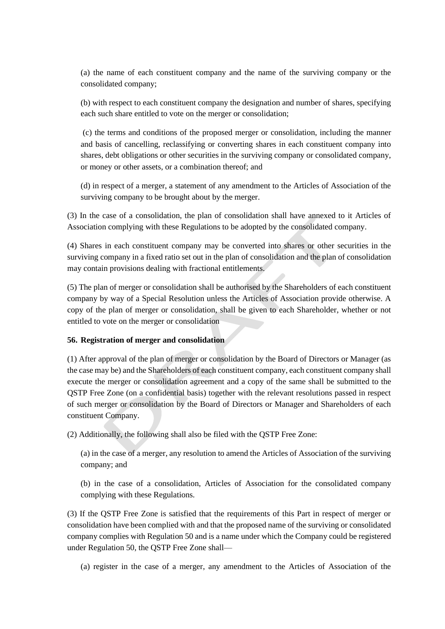(a) the name of each constituent company and the name of the surviving company or the consolidated company;

(b) with respect to each constituent company the designation and number of shares, specifying each such share entitled to vote on the merger or consolidation;

(c) the terms and conditions of the proposed merger or consolidation, including the manner and basis of cancelling, reclassifying or converting shares in each constituent company into shares, debt obligations or other securities in the surviving company or consolidated company, or money or other assets, or a combination thereof; and

(d) in respect of a merger, a statement of any amendment to the Articles of Association of the surviving company to be brought about by the merger.

(3) In the case of a consolidation, the plan of consolidation shall have annexed to it Articles of Association complying with these Regulations to be adopted by the consolidated company.

(4) Shares in each constituent company may be converted into shares or other securities in the surviving company in a fixed ratio set out in the plan of consolidation and the plan of consolidation may contain provisions dealing with fractional entitlements.

(5) The plan of merger or consolidation shall be authorised by the Shareholders of each constituent company by way of a Special Resolution unless the Articles of Association provide otherwise. A copy of the plan of merger or consolidation, shall be given to each Shareholder, whether or not entitled to vote on the merger or consolidation

#### **56. Registration of merger and consolidation**

(1) After approval of the plan of merger or consolidation by the Board of Directors or Manager (as the case may be) and the Shareholders of each constituent company, each constituent company shall execute the merger or consolidation agreement and a copy of the same shall be submitted to the QSTP Free Zone (on a confidential basis) together with the relevant resolutions passed in respect of such merger or consolidation by the Board of Directors or Manager and Shareholders of each constituent Company.

(2) Additionally, the following shall also be filed with the QSTP Free Zone:

(a) in the case of a merger, any resolution to amend the Articles of Association of the surviving company; and

(b) in the case of a consolidation, Articles of Association for the consolidated company complying with these Regulations.

(3) If the QSTP Free Zone is satisfied that the requirements of this Part in respect of merger or consolidation have been complied with and that the proposed name of the surviving or consolidated company complies with Regulatio[n 50](#page-42-0) and is a name under which the Company could be registered under Regulation [50,](#page-42-0) the QSTP Free Zone shall—

(a) register in the case of a merger, any amendment to the Articles of Association of the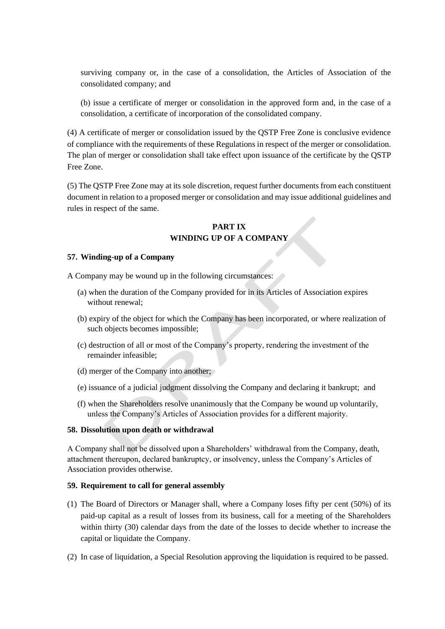surviving company or, in the case of a consolidation, the Articles of Association of the consolidated company; and

(b) issue a certificate of merger or consolidation in the approved form and, in the case of a consolidation, a certificate of incorporation of the consolidated company.

(4) A certificate of merger or consolidation issued by the QSTP Free Zone is conclusive evidence of compliance with the requirements of these Regulations in respect of the merger or consolidation. The plan of merger or consolidation shall take effect upon issuance of the certificate by the QSTP Free Zone.

(5) The QSTP Free Zone may at its sole discretion, request further documents from each constituent document in relation to a proposed merger or consolidation and may issue additional guidelines and rules in respect of the same.

# **PART IX WINDING UP OF A COMPANY**

#### **57. Winding-up of a Company**

A Company may be wound up in the following circumstances:

- (a) when the duration of the Company provided for in its Articles of Association expires without renewal;
- (b) expiry of the object for which the Company has been incorporated, or where realization of such objects becomes impossible;
- (c) destruction of all or most of the Company's property, rendering the investment of the remainder infeasible;
- (d) merger of the Company into another;
- (e) issuance of a judicial judgment dissolving the Company and declaring it bankrupt; and
- (f) when the Shareholders resolve unanimously that the Company be wound up voluntarily, unless the Company's Articles of Association provides for a different majority.

#### **58. Dissolution upon death or withdrawal**

A Company shall not be dissolved upon a Shareholders' withdrawal from the Company, death, attachment thereupon, declared bankruptcy, or insolvency, unless the Company's Articles of Association provides otherwise.

#### <span id="page-45-0"></span>**59. Requirement to call for general assembly**

- (1) The Board of Directors or Manager shall, where a Company loses fifty per cent (50%) of its paid-up capital as a result of losses from its business, call for a meeting of the Shareholders within thirty (30) calendar days from the date of the losses to decide whether to increase the capital or liquidate the Company.
- (2) In case of liquidation, a Special Resolution approving the liquidation is required to be passed.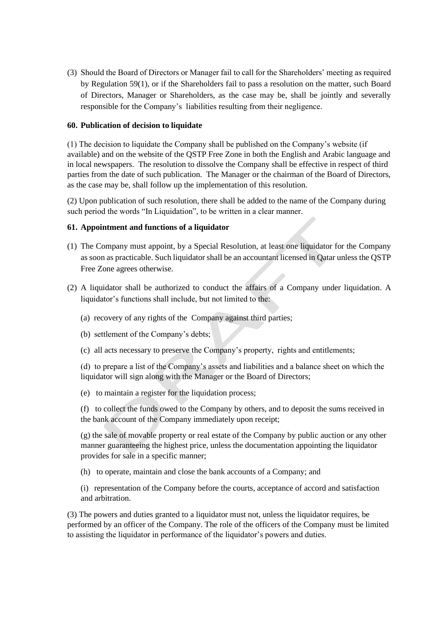(3) Should the Board of Directors or Manager fail to call for the Shareholders' meeting as required by Regulation [59\(](#page-45-0)1), or if the Shareholders fail to pass a resolution on the matter, such Board of Directors, Manager or Shareholders, as the case may be, shall be jointly and severally responsible for the Company's liabilities resulting from their negligence.

#### **60. Publication of decision to liquidate**

(1) The decision to liquidate the Company shall be published on the Company's website (if available) and on the website of the QSTP Free Zone in both the English and Arabic language and in local newspapers. The resolution to dissolve the Company shall be effective in respect of third parties from the date of such publication. The Manager or the chairman of the Board of Directors, as the case may be, shall follow up the implementation of this resolution.

(2) Upon publication of such resolution, there shall be added to the name of the Company during such period the words "In Liquidation", to be written in a clear manner.

#### **61. Appointment and functions of a liquidator**

- (1) The Company must appoint, by a Special Resolution, at least one liquidator for the Company as soon as practicable. Such liquidator shall be an accountant licensed in Qatar unless the QSTP Free Zone agrees otherwise.
- (2) A liquidator shall be authorized to conduct the affairs of a Company under liquidation. A liquidator's functions shall include, but not limited to the:
	- (a) recovery of any rights of the Company against third parties;
	- (b) settlement of the Company's debts;
	- (c) all acts necessary to preserve the Company's property, rights and entitlements;

(d) to prepare a list of the Company's assets and liabilities and a balance sheet on which the liquidator will sign along with the Manager or the Board of Directors;

(e) to maintain a register for the liquidation process;

(f) to collect the funds owed to the Company by others, and to deposit the sums received in the bank account of the Company immediately upon receipt;

(g) the sale of movable property or real estate of the Company by public auction or any other manner guaranteeing the highest price, unless the documentation appointing the liquidator provides for sale in a specific manner;

(h) to operate, maintain and close the bank accounts of a Company; and

(i) representation of the Company before the courts, acceptance of accord and satisfaction and arbitration.

(3) The powers and duties granted to a liquidator must not, unless the liquidator requires, be performed by an officer of the Company. The role of the officers of the Company must be limited to assisting the liquidator in performance of the liquidator's powers and duties.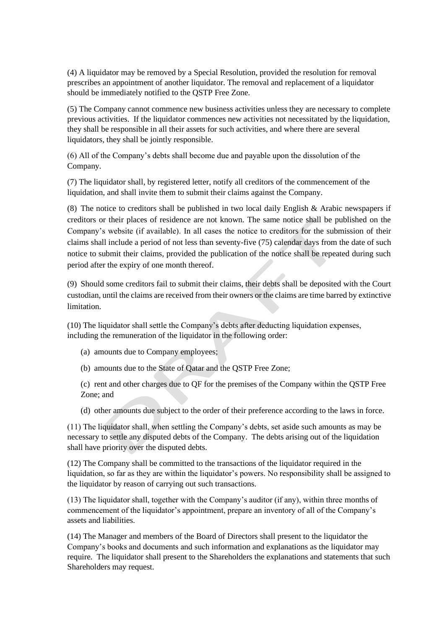(4) A liquidator may be removed by a Special Resolution, provided the resolution for removal prescribes an appointment of another liquidator. The removal and replacement of a liquidator should be immediately notified to the QSTP Free Zone.

(5) The Company cannot commence new business activities unless they are necessary to complete previous activities. If the liquidator commences new activities not necessitated by the liquidation, they shall be responsible in all their assets for such activities, and where there are several liquidators, they shall be jointly responsible.

(6) All of the Company's debts shall become due and payable upon the dissolution of the Company.

(7) The liquidator shall, by registered letter, notify all creditors of the commencement of the liquidation, and shall invite them to submit their claims against the Company.

(8) The notice to creditors shall be published in two local daily English  $\&$  Arabic newspapers if creditors or their places of residence are not known. The same notice shall be published on the Company's website (if available). In all cases the notice to creditors for the submission of their claims shall include a period of not less than seventy-five (75) calendar days from the date of such notice to submit their claims, provided the publication of the notice shall be repeated during such period after the expiry of one month thereof.

(9) Should some creditors fail to submit their claims, their debts shall be deposited with the Court custodian, until the claims are received from their owners or the claims are time barred by extinctive limitation.

(10) The liquidator shall settle the Company's debts after deducting liquidation expenses, including the remuneration of the liquidator in the following order:

- (a) amounts due to Company employees;
- (b) amounts due to the State of Qatar and the QSTP Free Zone;

(c) rent and other charges due to QF for the premises of the Company within the QSTP Free Zone; and

(d) other amounts due subject to the order of their preference according to the laws in force.

(11) The liquidator shall, when settling the Company's debts, set aside such amounts as may be necessary to settle any disputed debts of the Company. The debts arising out of the liquidation shall have priority over the disputed debts.

(12) The Company shall be committed to the transactions of the liquidator required in the liquidation, so far as they are within the liquidator's powers. No responsibility shall be assigned to the liquidator by reason of carrying out such transactions.

(13) The liquidator shall, together with the Company's auditor (if any), within three months of commencement of the liquidator's appointment, prepare an inventory of all of the Company's assets and liabilities.

(14) The Manager and members of the Board of Directors shall present to the liquidator the Company's books and documents and such information and explanations as the liquidator may require. The liquidator shall present to the Shareholders the explanations and statements that such Shareholders may request.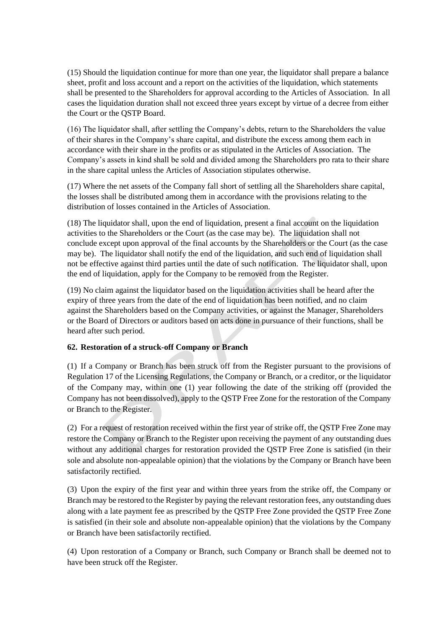(15) Should the liquidation continue for more than one year, the liquidator shall prepare a balance sheet, profit and loss account and a report on the activities of the liquidation, which statements shall be presented to the Shareholders for approval according to the Articles of Association. In all cases the liquidation duration shall not exceed three years except by virtue of a decree from either the Court or the QSTP Board.

(16) The liquidator shall, after settling the Company's debts, return to the Shareholders the value of their shares in the Company's share capital, and distribute the excess among them each in accordance with their share in the profits or as stipulated in the Articles of Association. The Company's assets in kind shall be sold and divided among the Shareholders pro rata to their share in the share capital unless the Articles of Association stipulates otherwise.

(17) Where the net assets of the Company fall short of settling all the Shareholders share capital, the losses shall be distributed among them in accordance with the provisions relating to the distribution of losses contained in the Articles of Association.

(18) The liquidator shall, upon the end of liquidation, present a final account on the liquidation activities to the Shareholders or the Court (as the case may be). The liquidation shall not conclude except upon approval of the final accounts by the Shareholders or the Court (as the case may be). The liquidator shall notify the end of the liquidation, and such end of liquidation shall not be effective against third parties until the date of such notification. The liquidator shall, upon the end of liquidation, apply for the Company to be removed from the Register.

(19) No claim against the liquidator based on the liquidation activities shall be heard after the expiry of three years from the date of the end of liquidation has been notified, and no claim against the Shareholders based on the Company activities, or against the Manager, Shareholders or the Board of Directors or auditors based on acts done in pursuance of their functions, shall be heard after such period.

# **62. Restoration of a struck-off Company or Branch**

(1) If a Company or Branch has been struck off from the Register pursuant to the provisions of Regulation 17 of the Licensing Regulations, the Company or Branch, or a creditor, or the liquidator of the Company may, within one (1) year following the date of the striking off (provided the Company has not been dissolved), apply to the QSTP Free Zone for the restoration of the Company or Branch to the Register.

(2) For a request of restoration received within the first year of strike off, the QSTP Free Zone may restore the Company or Branch to the Register upon receiving the payment of any outstanding dues without any additional charges for restoration provided the QSTP Free Zone is satisfied (in their sole and absolute non-appealable opinion) that the violations by the Company or Branch have been satisfactorily rectified.

(3) Upon the expiry of the first year and within three years from the strike off, the Company or Branch may be restored to the Register by paying the relevant restoration fees, any outstanding dues along with a late payment fee as prescribed by the QSTP Free Zone provided the QSTP Free Zone is satisfied (in their sole and absolute non-appealable opinion) that the violations by the Company or Branch have been satisfactorily rectified.

(4) Upon restoration of a Company or Branch, such Company or Branch shall be deemed not to have been struck off the Register.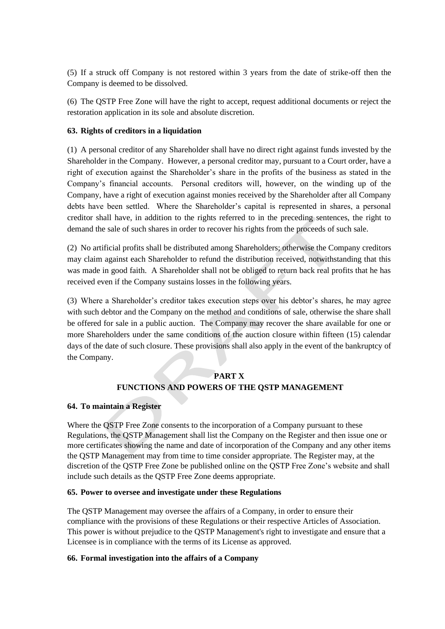(5) If a struck off Company is not restored within 3 years from the date of strike-off then the Company is deemed to be dissolved.

(6) The QSTP Free Zone will have the right to accept, request additional documents or reject the restoration application in its sole and absolute discretion.

## **63. Rights of creditors in a liquidation**

(1) A personal creditor of any Shareholder shall have no direct right against funds invested by the Shareholder in the Company. However, a personal creditor may, pursuant to a Court order, have a right of execution against the Shareholder's share in the profits of the business as stated in the Company's financial accounts. Personal creditors will, however, on the winding up of the Company, have a right of execution against monies received by the Shareholder after all Company debts have been settled. Where the Shareholder's capital is represented in shares, a personal creditor shall have, in addition to the rights referred to in the preceding sentences, the right to demand the sale of such shares in order to recover his rights from the proceeds of such sale.

(2) No artificial profits shall be distributed among Shareholders; otherwise the Company creditors may claim against each Shareholder to refund the distribution received, notwithstanding that this was made in good faith. A Shareholder shall not be obliged to return back real profits that he has received even if the Company sustains losses in the following years.

(3) Where a Shareholder's creditor takes execution steps over his debtor's shares, he may agree with such debtor and the Company on the method and conditions of sale, otherwise the share shall be offered for sale in a public auction. The Company may recover the share available for one or more Shareholders under the same conditions of the auction closure within fifteen (15) calendar days of the date of such closure. These provisions shall also apply in the event of the bankruptcy of the Company.

## **PART X**

#### **FUNCTIONS AND POWERS OF THE QSTP MANAGEMENT**

#### **64. To maintain a Register**

Where the QSTP Free Zone consents to the incorporation of a Company pursuant to these Regulations, the QSTP Management shall list the Company on the Register and then issue one or more certificates showing the name and date of incorporation of the Company and any other items the QSTP Management may from time to time consider appropriate. The Register may, at the discretion of the QSTP Free Zone be published online on the QSTP Free Zone's website and shall include such details as the QSTP Free Zone deems appropriate.

#### **65. Power to oversee and investigate under these Regulations**

The QSTP Management may oversee the affairs of a Company, in order to ensure their compliance with the provisions of these Regulations or their respective Articles of Association. This power is without prejudice to the QSTP Management's right to investigate and ensure that a Licensee is in compliance with the terms of its License as approved.

#### <span id="page-49-0"></span>**66. Formal investigation into the affairs of a Company**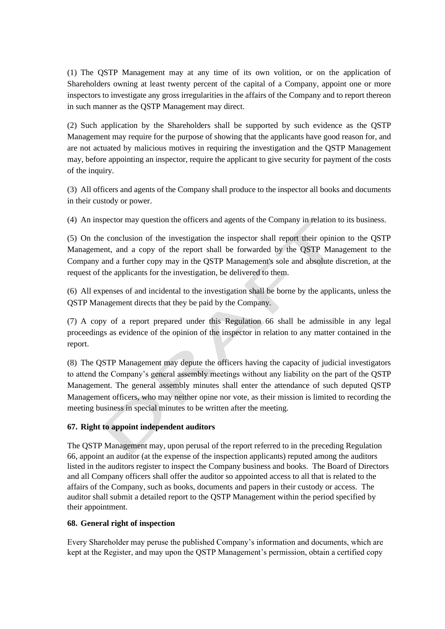(1) The QSTP Management may at any time of its own volition, or on the application of Shareholders owning at least twenty percent of the capital of a Company, appoint one or more inspectors to investigate any gross irregularities in the affairs of the Company and to report thereon in such manner as the QSTP Management may direct.

(2) Such application by the Shareholders shall be supported by such evidence as the QSTP Management may require for the purpose of showing that the applicants have good reason for, and are not actuated by malicious motives in requiring the investigation and the QSTP Management may, before appointing an inspector, require the applicant to give security for payment of the costs of the inquiry.

(3) All officers and agents of the Company shall produce to the inspector all books and documents in their custody or power.

(4) An inspector may question the officers and agents of the Company in relation to its business.

(5) On the conclusion of the investigation the inspector shall report their opinion to the QSTP Management, and a copy of the report shall be forwarded by the QSTP Management to the Company and a further copy may in the QSTP Management's sole and absolute discretion, at the request of the applicants for the investigation, be delivered to them.

(6) All expenses of and incidental to the investigation shall be borne by the applicants, unless the QSTP Management directs that they be paid by the Company.

(7) A copy of a report prepared under this Regulation [66](#page-49-0) shall be admissible in any legal proceedings as evidence of the opinion of the inspector in relation to any matter contained in the report.

(8) The QSTP Management may depute the officers having the capacity of judicial investigators to attend the Company's general assembly meetings without any liability on the part of the QSTP Management. The general assembly minutes shall enter the attendance of such deputed QSTP Management officers, who may neither opine nor vote, as their mission is limited to recording the meeting business in special minutes to be written after the meeting.

# **67. Right to appoint independent auditors**

The QSTP Management may, upon perusal of the report referred to in the preceding Regulation [66,](#page-49-0) appoint an auditor (at the expense of the inspection applicants) reputed among the auditors listed in the auditors register to inspect the Company business and books. The Board of Directors and all Company officers shall offer the auditor so appointed access to all that is related to the affairs of the Company, such as books, documents and papers in their custody or access. The auditor shall submit a detailed report to the QSTP Management within the period specified by their appointment.

# **68. General right of inspection**

Every Shareholder may peruse the published Company's information and documents, which are kept at the Register, and may upon the QSTP Management's permission, obtain a certified copy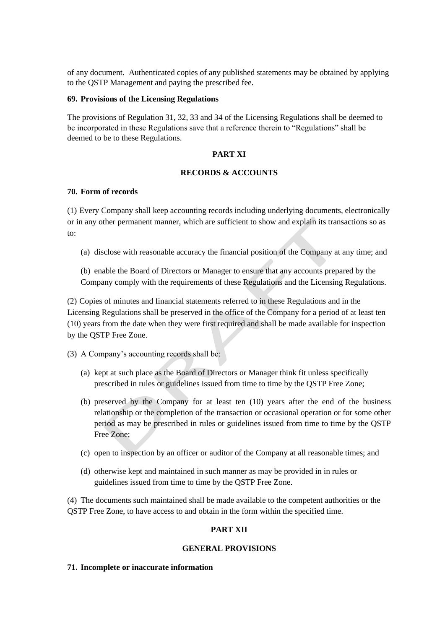of any document. Authenticated copies of any published statements may be obtained by applying to the QSTP Management and paying the prescribed fee.

#### **69. Provisions of the Licensing Regulations**

The provisions of Regulation 31, 32, 33 and 34 of the Licensing Regulations shall be deemed to be incorporated in these Regulations save that a reference therein to "Regulations" shall be deemed to be to these Regulations.

#### **PART XI**

#### **RECORDS & ACCOUNTS**

#### **70. Form of records**

(1) Every Company shall keep accounting records including underlying documents, electronically or in any other permanent manner, which are sufficient to show and explain its transactions so as to:

(a) disclose with reasonable accuracy the financial position of the Company at any time; and

(b) enable the Board of Directors or Manager to ensure that any accounts prepared by the Company comply with the requirements of these Regulations and the Licensing Regulations.

(2) Copies of minutes and financial statements referred to in these Regulations and in the Licensing Regulations shall be preserved in the office of the Company for a period of at least ten (10) years from the date when they were first required and shall be made available for inspection by the QSTP Free Zone.

(3) A Company's accounting records shall be:

- (a) kept at such place as the Board of Directors or Manager think fit unless specifically prescribed in rules or guidelines issued from time to time by the QSTP Free Zone;
- (b) preserved by the Company for at least ten (10) years after the end of the business relationship or the completion of the transaction or occasional operation or for some other period as may be prescribed in rules or guidelines issued from time to time by the QSTP Free Zone;
- (c) open to inspection by an officer or auditor of the Company at all reasonable times; and
- (d) otherwise kept and maintained in such manner as may be provided in in rules or guidelines issued from time to time by the QSTP Free Zone.

(4) The documents such maintained shall be made available to the competent authorities or the QSTP Free Zone, to have access to and obtain in the form within the specified time.

# **PART XII**

#### **GENERAL PROVISIONS**

#### **71. Incomplete or inaccurate information**